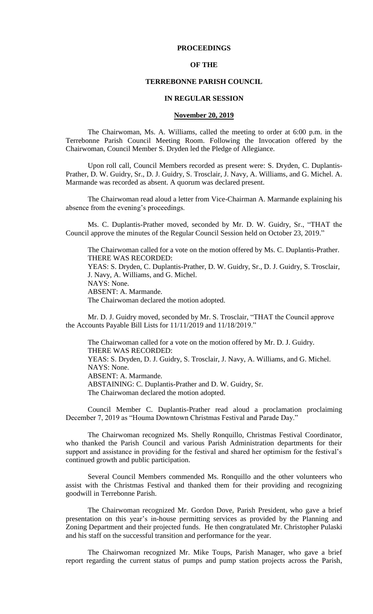# **PROCEEDINGS**

# **OF THE**

#### **TERREBONNE PARISH COUNCIL**

#### **IN REGULAR SESSION**

### **November 20, 2019**

The Chairwoman, Ms. A. Williams, called the meeting to order at 6:00 p.m. in the Terrebonne Parish Council Meeting Room. Following the Invocation offered by the Chairwoman, Council Member S. Dryden led the Pledge of Allegiance.

Upon roll call, Council Members recorded as present were: S. Dryden, C. Duplantis-Prather, D. W. Guidry, Sr., D. J. Guidry, S. Trosclair, J. Navy, A. Williams, and G. Michel. A. Marmande was recorded as absent. A quorum was declared present.

The Chairwoman read aloud a letter from Vice-Chairman A. Marmande explaining his absence from the evening's proceedings.

Ms. C. Duplantis-Prather moved, seconded by Mr. D. W. Guidry, Sr., "THAT the Council approve the minutes of the Regular Council Session held on October 23, 2019."

The Chairwoman called for a vote on the motion offered by Ms. C. Duplantis-Prather. THERE WAS RECORDED: YEAS: S. Dryden, C. Duplantis-Prather, D. W. Guidry, Sr., D. J. Guidry, S. Trosclair, J. Navy, A. Williams, and G. Michel. NAYS: None. ABSENT: A. Marmande. The Chairwoman declared the motion adopted.

Mr. D. J. Guidry moved, seconded by Mr. S. Trosclair, "THAT the Council approve the Accounts Payable Bill Lists for 11/11/2019 and 11/18/2019."

The Chairwoman called for a vote on the motion offered by Mr. D. J. Guidry. THERE WAS RECORDED: YEAS: S. Dryden, D. J. Guidry, S. Trosclair, J. Navy, A. Williams, and G. Michel. NAYS: None. ABSENT: A. Marmande. ABSTAINING: C. Duplantis-Prather and D. W. Guidry, Sr. The Chairwoman declared the motion adopted.

Council Member C. Duplantis-Prather read aloud a proclamation proclaiming December 7, 2019 as "Houma Downtown Christmas Festival and Parade Day."

The Chairwoman recognized Ms. Shelly Ronquillo, Christmas Festival Coordinator, who thanked the Parish Council and various Parish Administration departments for their support and assistance in providing for the festival and shared her optimism for the festival's continued growth and public participation.

Several Council Members commended Ms. Ronquillo and the other volunteers who assist with the Christmas Festival and thanked them for their providing and recognizing goodwill in Terrebonne Parish.

The Chairwoman recognized Mr. Gordon Dove, Parish President, who gave a brief presentation on this year's in-house permitting services as provided by the Planning and Zoning Department and their projected funds. He then congratulated Mr. Christopher Pulaski and his staff on the successful transition and performance for the year.

The Chairwoman recognized Mr. Mike Toups, Parish Manager, who gave a brief report regarding the current status of pumps and pump station projects across the Parish,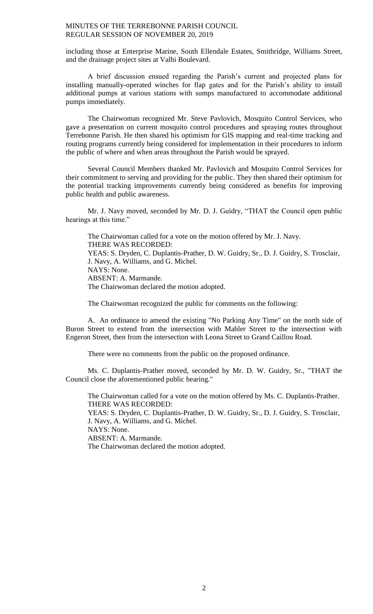including those at Enterprise Marine, South Ellendale Estates, Smithridge, Williams Street, and the drainage project sites at Valhi Boulevard.

A brief discussion ensued regarding the Parish's current and projected plans for installing manually-operated winches for flap gates and for the Parish's ability to install additional pumps at various stations with sumps manufactured to accommodate additional pumps immediately.

The Chairwoman recognized Mr. Steve Pavlovich, Mosquito Control Services, who gave a presentation on current mosquito control procedures and spraying routes throughout Terrebonne Parish. He then shared his optimism for GIS mapping and real-time tracking and routing programs currently being considered for implementation in their procedures to inform the public of where and when areas throughout the Parish would be sprayed.

Several Council Members thanked Mr. Pavlovich and Mosquito Control Services for their commitment to serving and providing for the public. They then shared their optimism for the potential tracking improvements currently being considered as benefits for improving public health and public awareness.

Mr. J. Navy moved, seconded by Mr. D. J. Guidry, "THAT the Council open public hearings at this time."

The Chairwoman called for a vote on the motion offered by Mr. J. Navy. THERE WAS RECORDED: YEAS: S. Dryden, C. Duplantis-Prather, D. W. Guidry, Sr., D. J. Guidry, S. Trosclair, J. Navy, A. Williams, and G. Michel. NAYS: None. ABSENT: A. Marmande. The Chairwoman declared the motion adopted.

The Chairwoman recognized the public for comments on the following:

A. An ordinance to amend the existing "No Parking Any Time" on the north side of Buron Street to extend from the intersection with Mahler Street to the intersection with Engeron Street, then from the intersection with Leona Street to Grand Caillou Road.

There were no comments from the public on the proposed ordinance.

Ms. C. Duplantis-Prather moved, seconded by Mr. D. W. Guidry, Sr., "THAT the Council close the aforementioned public hearing."

The Chairwoman called for a vote on the motion offered by Ms. C. Duplantis-Prather. THERE WAS RECORDED: YEAS: S. Dryden, C. Duplantis-Prather, D. W. Guidry, Sr., D. J. Guidry, S. Trosclair, J. Navy, A. Williams, and G. Michel. NAYS: None. ABSENT: A. Marmande. The Chairwoman declared the motion adopted.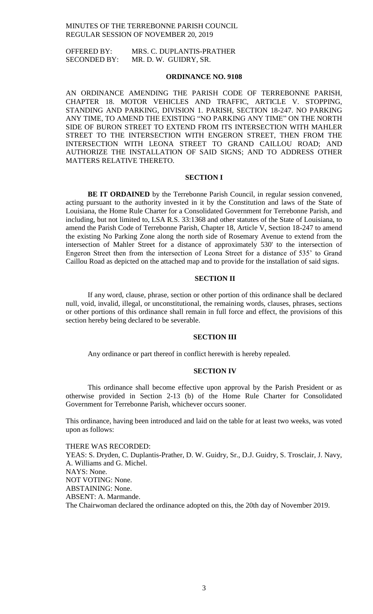OFFERED BY: MRS. C. DUPLANTIS-PRATHER SECONDED BY: MR. D. W. GUIDRY, SR.

### **ORDINANCE NO. 9108**

AN ORDINANCE AMENDING THE PARISH CODE OF TERREBONNE PARISH, CHAPTER 18. MOTOR VEHICLES AND TRAFFIC, ARTICLE V. STOPPING, STANDING AND PARKING, DIVISION 1. PARISH, SECTION 18-247. NO PARKING ANY TIME, TO AMEND THE EXISTING "NO PARKING ANY TIME" ON THE NORTH SIDE OF BURON STREET TO EXTEND FROM ITS INTERSECTION WITH MAHLER STREET TO THE INTERSECTION WITH ENGERON STREET, THEN FROM THE INTERSECTION WITH LEONA STREET TO GRAND CAILLOU ROAD; AND AUTHORIZE THE INSTALLATION OF SAID SIGNS; AND TO ADDRESS OTHER MATTERS RELATIVE THERETO.

### **SECTION I**

**BE IT ORDAINED** by the Terrebonne Parish Council, in regular session convened, acting pursuant to the authority invested in it by the Constitution and laws of the State of Louisiana, the Home Rule Charter for a Consolidated Government for Terrebonne Parish, and including, but not limited to, LSA R.S. 33:1368 and other statutes of the State of Louisiana, to amend the Parish Code of Terrebonne Parish, Chapter 18, Article V, Section 18-247 to amend the existing No Parking Zone along the north side of Rosemary Avenue to extend from the intersection of Mahler Street for a distance of approximately 530' to the intersection of Engeron Street then from the intersection of Leona Street for a distance of 535' to Grand Caillou Road as depicted on the attached map and to provide for the installation of said signs.

# **SECTION II**

If any word, clause, phrase, section or other portion of this ordinance shall be declared null, void, invalid, illegal, or unconstitutional, the remaining words, clauses, phrases, sections or other portions of this ordinance shall remain in full force and effect, the provisions of this section hereby being declared to be severable.

#### **SECTION III**

Any ordinance or part thereof in conflict herewith is hereby repealed.

### **SECTION IV**

This ordinance shall become effective upon approval by the Parish President or as otherwise provided in Section 2-13 (b) of the Home Rule Charter for Consolidated Government for Terrebonne Parish, whichever occurs sooner.

This ordinance, having been introduced and laid on the table for at least two weeks, was voted upon as follows:

THERE WAS RECORDED: YEAS: S. Dryden, C. Duplantis-Prather, D. W. Guidry, Sr., D.J. Guidry, S. Trosclair, J. Navy, A. Williams and G. Michel. NAYS: None. NOT VOTING: None. ABSTAINING: None. ABSENT: A. Marmande. The Chairwoman declared the ordinance adopted on this, the 20th day of November 2019.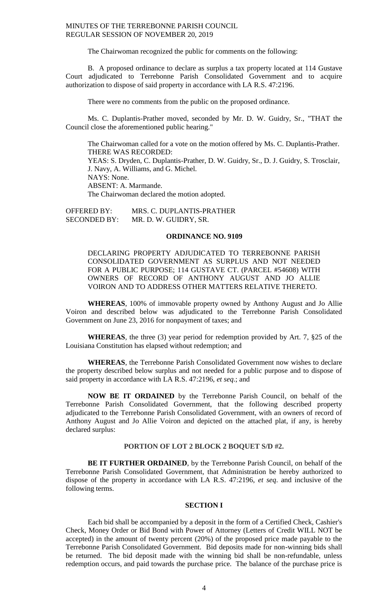The Chairwoman recognized the public for comments on the following:

B. A proposed ordinance to declare as surplus a tax property located at 114 Gustave Court adjudicated to Terrebonne Parish Consolidated Government and to acquire authorization to dispose of said property in accordance with LA R.S. 47:2196.

There were no comments from the public on the proposed ordinance.

Ms. C. Duplantis-Prather moved, seconded by Mr. D. W. Guidry, Sr., "THAT the Council close the aforementioned public hearing."

The Chairwoman called for a vote on the motion offered by Ms. C. Duplantis-Prather. THERE WAS RECORDED: YEAS: S. Dryden, C. Duplantis-Prather, D. W. Guidry, Sr., D. J. Guidry, S. Trosclair, J. Navy, A. Williams, and G. Michel. NAYS: None. ABSENT: A. Marmande. The Chairwoman declared the motion adopted.

OFFERED BY: MRS. C. DUPLANTIS-PRATHER SECONDED BY: MR. D. W. GUIDRY, SR.

# **ORDINANCE NO. 9109**

DECLARING PROPERTY ADJUDICATED TO TERREBONNE PARISH CONSOLIDATED GOVERNMENT AS SURPLUS AND NOT NEEDED FOR A PUBLIC PURPOSE; 114 GUSTAVE CT. (PARCEL #54608) WITH OWNERS OF RECORD OF ANTHONY AUGUST AND JO ALLIE VOIRON AND TO ADDRESS OTHER MATTERS RELATIVE THERETO.

**WHEREAS**, 100% of immovable property owned by Anthony August and Jo Allie Voiron and described below was adjudicated to the Terrebonne Parish Consolidated Government on June 23, 2016 for nonpayment of taxes; and

**WHEREAS**, the three (3) year period for redemption provided by Art. 7, §25 of the Louisiana Constitution has elapsed without redemption; and

**WHEREAS**, the Terrebonne Parish Consolidated Government now wishes to declare the property described below surplus and not needed for a public purpose and to dispose of said property in accordance with LA R.S. 47:2196, *et seq*.; and

**NOW BE IT ORDAINED** by the Terrebonne Parish Council, on behalf of the Terrebonne Parish Consolidated Government, that the following described property adjudicated to the Terrebonne Parish Consolidated Government, with an owners of record of Anthony August and Jo Allie Voiron and depicted on the attached plat, if any, is hereby declared surplus:

# **PORTION OF LOT 2 BLOCK 2 BOQUET S/D #2.**

**BE IT FURTHER ORDAINED**, by the Terrebonne Parish Council, on behalf of the Terrebonne Parish Consolidated Government, that Administration be hereby authorized to dispose of the property in accordance with LA R.S. 47:2196, *et seq*. and inclusive of the following terms.

## **SECTION I**

Each bid shall be accompanied by a deposit in the form of a Certified Check, Cashier's Check, Money Order or Bid Bond with Power of Attorney (Letters of Credit WILL NOT be accepted) in the amount of twenty percent (20%) of the proposed price made payable to the Terrebonne Parish Consolidated Government. Bid deposits made for non-winning bids shall be returned. The bid deposit made with the winning bid shall be non-refundable, unless redemption occurs, and paid towards the purchase price. The balance of the purchase price is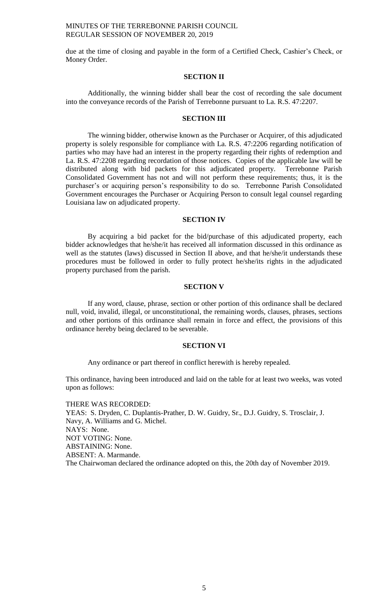due at the time of closing and payable in the form of a Certified Check, Cashier's Check, or Money Order.

# **SECTION II**

Additionally, the winning bidder shall bear the cost of recording the sale document into the conveyance records of the Parish of Terrebonne pursuant to La. R.S. 47:2207.

### **SECTION III**

The winning bidder, otherwise known as the Purchaser or Acquirer, of this adjudicated property is solely responsible for compliance with La. R.S. 47:2206 regarding notification of parties who may have had an interest in the property regarding their rights of redemption and La. R.S. 47:2208 regarding recordation of those notices. Copies of the applicable law will be distributed along with bid packets for this adjudicated property. Terrebonne Parish Consolidated Government has not and will not perform these requirements; thus, it is the purchaser's or acquiring person's responsibility to do so. Terrebonne Parish Consolidated Government encourages the Purchaser or Acquiring Person to consult legal counsel regarding Louisiana law on adjudicated property.

### **SECTION IV**

By acquiring a bid packet for the bid/purchase of this adjudicated property, each bidder acknowledges that he/she/it has received all information discussed in this ordinance as well as the statutes (laws) discussed in Section II above, and that he/she/it understands these procedures must be followed in order to fully protect he/she/its rights in the adjudicated property purchased from the parish.

# **SECTION V**

If any word, clause, phrase, section or other portion of this ordinance shall be declared null, void, invalid, illegal, or unconstitutional, the remaining words, clauses, phrases, sections and other portions of this ordinance shall remain in force and effect, the provisions of this ordinance hereby being declared to be severable.

#### **SECTION VI**

Any ordinance or part thereof in conflict herewith is hereby repealed.

This ordinance, having been introduced and laid on the table for at least two weeks, was voted upon as follows:

THERE WAS RECORDED: YEAS: S. Dryden, C. Duplantis-Prather, D. W. Guidry, Sr., D.J. Guidry, S. Trosclair, J. Navy, A. Williams and G. Michel. NAYS: None. NOT VOTING: None. ABSTAINING: None. ABSENT: A. Marmande. The Chairwoman declared the ordinance adopted on this, the 20th day of November 2019.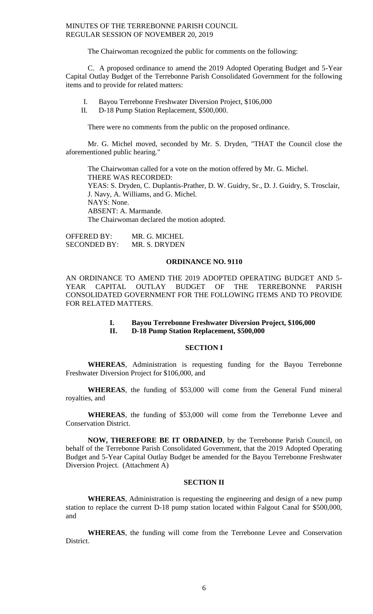The Chairwoman recognized the public for comments on the following:

C. A proposed ordinance to amend the 2019 Adopted Operating Budget and 5-Year Capital Outlay Budget of the Terrebonne Parish Consolidated Government for the following items and to provide for related matters:

- I. Bayou Terrebonne Freshwater Diversion Project, \$106,000<br>II. D-18 Pump Station Replacement. \$500,000.
- D-18 Pump Station Replacement, \$500,000.

There were no comments from the public on the proposed ordinance.

Mr. G. Michel moved, seconded by Mr. S. Dryden, "THAT the Council close the aforementioned public hearing."

The Chairwoman called for a vote on the motion offered by Mr. G. Michel. THERE WAS RECORDED: YEAS: S. Dryden, C. Duplantis-Prather, D. W. Guidry, Sr., D. J. Guidry, S. Trosclair, J. Navy, A. Williams, and G. Michel. NAYS: None. ABSENT: A. Marmande. The Chairwoman declared the motion adopted.

OFFERED BY: MR. G. MICHEL SECONDED BY: MR. S. DRYDEN

#### **ORDINANCE NO. 9110**

AN ORDINANCE TO AMEND THE 2019 ADOPTED OPERATING BUDGET AND 5- YEAR CAPITAL OUTLAY BUDGET OF THE TERREBONNE PARISH CONSOLIDATED GOVERNMENT FOR THE FOLLOWING ITEMS AND TO PROVIDE FOR RELATED MATTERS.

### **I. Bayou Terrebonne Freshwater Diversion Project, \$106,000 II. D-18 Pump Station Replacement, \$500,000**

#### **SECTION I**

**WHEREAS**, Administration is requesting funding for the Bayou Terrebonne Freshwater Diversion Project for \$106,000, and

**WHEREAS**, the funding of \$53,000 will come from the General Fund mineral royalties, and

**WHEREAS**, the funding of \$53,000 will come from the Terrebonne Levee and Conservation District.

**NOW, THEREFORE BE IT ORDAINED**, by the Terrebonne Parish Council, on behalf of the Terrebonne Parish Consolidated Government, that the 2019 Adopted Operating Budget and 5-Year Capital Outlay Budget be amended for the Bayou Terrebonne Freshwater Diversion Project. (Attachment A)

# **SECTION II**

**WHEREAS**, Administration is requesting the engineering and design of a new pump station to replace the current D-18 pump station located within Falgout Canal for \$500,000, and

**WHEREAS**, the funding will come from the Terrebonne Levee and Conservation District.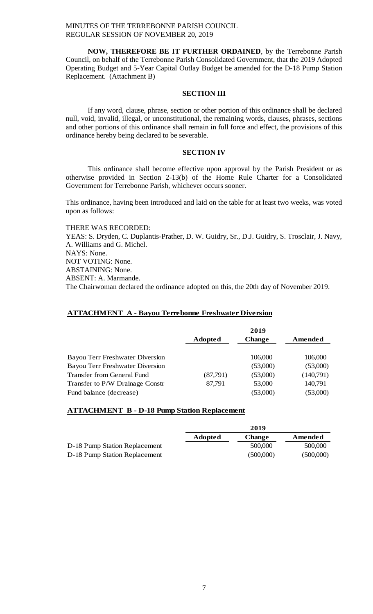**NOW, THEREFORE BE IT FURTHER ORDAINED**, by the Terrebonne Parish Council, on behalf of the Terrebonne Parish Consolidated Government, that the 2019 Adopted Operating Budget and 5-Year Capital Outlay Budget be amended for the D-18 Pump Station Replacement. (Attachment B)

### **SECTION III**

If any word, clause, phrase, section or other portion of this ordinance shall be declared null, void, invalid, illegal, or unconstitutional, the remaining words, clauses, phrases, sections and other portions of this ordinance shall remain in full force and effect, the provisions of this ordinance hereby being declared to be severable.

# **SECTION IV**

This ordinance shall become effective upon approval by the Parish President or as otherwise provided in Section 2-13(b) of the Home Rule Charter for a Consolidated Government for Terrebonne Parish, whichever occurs sooner.

This ordinance, having been introduced and laid on the table for at least two weeks, was voted upon as follows:

THERE WAS RECORDED: YEAS: S. Dryden, C. Duplantis-Prather, D. W. Guidry, Sr., D.J. Guidry, S. Trosclair, J. Navy, A. Williams and G. Michel. NAYS: None. NOT VOTING: None. ABSTAINING: None. ABSENT: A. Marmande. The Chairwoman declared the ordinance adopted on this, the 20th day of November 2019.

### **ATTACHMENT A - Bayou Terrebonne Freshwater Diversion**

|                                        | 2019           |               |           |
|----------------------------------------|----------------|---------------|-----------|
|                                        | <b>Adopted</b> | <b>Change</b> | Amended   |
| Bayou Terr Freshwater Diversion        |                | 106,000       | 106,000   |
| <b>Bayou Terr Freshwater Diversion</b> |                | (53,000)      | (53,000)  |
| <b>Transfer from General Fund</b>      | (87,791)       | (53,000)      | (140,791) |
| Transfer to P/W Drainage Constr        | 87,791         | 53,000        | 140,791   |
| Fund balance (decrease)                |                | (53,000)      | (53,000)  |

### **ATTACHMENT B - D-18 Pump Station Replacement**

|                               |                | 2019          |           |
|-------------------------------|----------------|---------------|-----------|
|                               | <b>Adopted</b> | <b>Change</b> | Amended   |
| D-18 Pump Station Replacement |                | 500,000       | 500,000   |
| D-18 Pump Station Replacement |                | (500,000)     | (500,000) |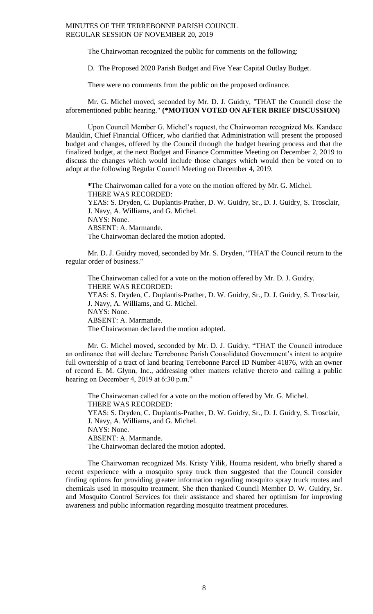The Chairwoman recognized the public for comments on the following:

D. The Proposed 2020 Parish Budget and Five Year Capital Outlay Budget.

There were no comments from the public on the proposed ordinance.

Mr. G. Michel moved, seconded by Mr. D. J. Guidry, "THAT the Council close the aforementioned public hearing." **(\*MOTION VOTED ON AFTER BRIEF DISCUSSION)**

Upon Council Member G. Michel's request, the Chairwoman recognized Ms. Kandace Mauldin, Chief Financial Officer, who clarified that Administration will present the proposed budget and changes, offered by the Council through the budget hearing process and that the finalized budget, at the next Budget and Finance Committee Meeting on December 2, 2019 to discuss the changes which would include those changes which would then be voted on to adopt at the following Regular Council Meeting on December 4, 2019.

**\***The Chairwoman called for a vote on the motion offered by Mr. G. Michel. THERE WAS RECORDED: YEAS: S. Dryden, C. Duplantis-Prather, D. W. Guidry, Sr., D. J. Guidry, S. Trosclair, J. Navy, A. Williams, and G. Michel. NAYS: None. ABSENT: A. Marmande. The Chairwoman declared the motion adopted.

Mr. D. J. Guidry moved, seconded by Mr. S. Dryden, "THAT the Council return to the regular order of business."

The Chairwoman called for a vote on the motion offered by Mr. D. J. Guidry. THERE WAS RECORDED: YEAS: S. Dryden, C. Duplantis-Prather, D. W. Guidry, Sr., D. J. Guidry, S. Trosclair, J. Navy, A. Williams, and G. Michel. NAYS: None. ABSENT: A. Marmande. The Chairwoman declared the motion adopted.

Mr. G. Michel moved, seconded by Mr. D. J. Guidry, "THAT the Council introduce an ordinance that will declare Terrebonne Parish Consolidated Government's intent to acquire full ownership of a tract of land bearing Terrebonne Parcel ID Number 41876, with an owner of record E. M. Glynn, Inc., addressing other matters relative thereto and calling a public hearing on December 4, 2019 at 6:30 p.m."

The Chairwoman called for a vote on the motion offered by Mr. G. Michel. THERE WAS RECORDED: YEAS: S. Dryden, C. Duplantis-Prather, D. W. Guidry, Sr., D. J. Guidry, S. Trosclair, J. Navy, A. Williams, and G. Michel. NAYS: None. ABSENT: A. Marmande. The Chairwoman declared the motion adopted.

The Chairwoman recognized Ms. Kristy Yilik, Houma resident, who briefly shared a recent experience with a mosquito spray truck then suggested that the Council consider finding options for providing greater information regarding mosquito spray truck routes and chemicals used in mosquito treatment. She then thanked Council Member D. W. Guidry, Sr. and Mosquito Control Services for their assistance and shared her optimism for improving awareness and public information regarding mosquito treatment procedures.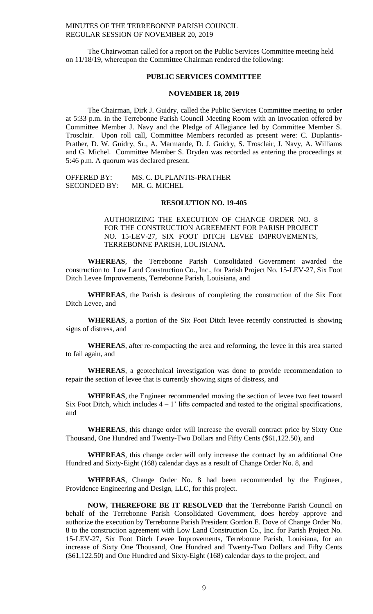The Chairwoman called for a report on the Public Services Committee meeting held on 11/18/19, whereupon the Committee Chairman rendered the following:

# **PUBLIC SERVICES COMMITTEE**

### **NOVEMBER 18, 2019**

The Chairman, Dirk J. Guidry, called the Public Services Committee meeting to order at 5:33 p.m. in the Terrebonne Parish Council Meeting Room with an Invocation offered by Committee Member J. Navy and the Pledge of Allegiance led by Committee Member S. Trosclair. Upon roll call, Committee Members recorded as present were: C. Duplantis-Prather, D. W. Guidry, Sr., A. Marmande, D. J. Guidry, S. Trosclair, J. Navy, A. Williams and G. Michel. Committee Member S. Dryden was recorded as entering the proceedings at 5:46 p.m. A quorum was declared present.

OFFERED BY: MS. C. DUPLANTIS-PRATHER SECONDED BY: MR. G. MICHEL

### **RESOLUTION NO. 19-405**

AUTHORIZING THE EXECUTION OF CHANGE ORDER NO. 8 FOR THE CONSTRUCTION AGREEMENT FOR PARISH PROJECT NO. 15-LEV-27, SIX FOOT DITCH LEVEE IMPROVEMENTS, TERREBONNE PARISH, LOUISIANA.

**WHEREAS**, the Terrebonne Parish Consolidated Government awarded the construction to Low Land Construction Co., Inc., for Parish Project No. 15-LEV-27, Six Foot Ditch Levee Improvements, Terrebonne Parish, Louisiana, and

**WHEREAS**, the Parish is desirous of completing the construction of the Six Foot Ditch Levee, and

**WHEREAS**, a portion of the Six Foot Ditch levee recently constructed is showing signs of distress, and

**WHEREAS**, after re-compacting the area and reforming, the levee in this area started to fail again, and

**WHEREAS**, a geotechnical investigation was done to provide recommendation to repair the section of levee that is currently showing signs of distress, and

**WHEREAS**, the Engineer recommended moving the section of levee two feet toward Six Foot Ditch, which includes  $4 - 1$ ' lifts compacted and tested to the original specifications, and

**WHEREAS**, this change order will increase the overall contract price by Sixty One Thousand, One Hundred and Twenty-Two Dollars and Fifty Cents (\$61,122.50), and

**WHEREAS**, this change order will only increase the contract by an additional One Hundred and Sixty-Eight (168) calendar days as a result of Change Order No. 8, and

**WHEREAS**, Change Order No. 8 had been recommended by the Engineer, Providence Engineering and Design, LLC, for this project.

**NOW, THEREFORE BE IT RESOLVED** that the Terrebonne Parish Council on behalf of the Terrebonne Parish Consolidated Government, does hereby approve and authorize the execution by Terrebonne Parish President Gordon E. Dove of Change Order No. 8 to the construction agreement with Low Land Construction Co., Inc. for Parish Project No. 15-LEV-27, Six Foot Ditch Levee Improvements, Terrebonne Parish, Louisiana, for an increase of Sixty One Thousand, One Hundred and Twenty-Two Dollars and Fifty Cents (\$61,122.50) and One Hundred and Sixty-Eight (168) calendar days to the project, and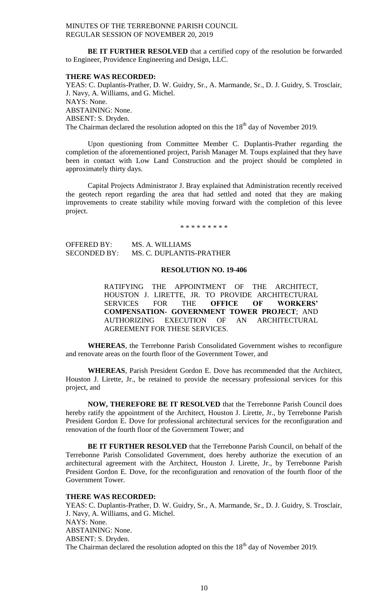**BE IT FURTHER RESOLVED** that a certified copy of the resolution be forwarded to Engineer, Providence Engineering and Design, LLC.

### **THERE WAS RECORDED:**

YEAS: C. Duplantis-Prather, D. W. Guidry, Sr., A. Marmande, Sr., D. J. Guidry, S. Trosclair, J. Navy, A. Williams, and G. Michel. NAYS: None. ABSTAINING: None. ABSENT: S. Dryden. The Chairman declared the resolution adopted on this the  $18<sup>th</sup>$  day of November 2019.

Upon questioning from Committee Member C. Duplantis-Prather regarding the completion of the aforementioned project, Parish Manager M. Toups explained that they have been in contact with Low Land Construction and the project should be completed in approximately thirty days.

Capital Projects Administrator J. Bray explained that Administration recently received the geotech report regarding the area that had settled and noted that they are making improvements to create stability while moving forward with the completion of this levee project.

\* \* \* \* \* \* \* \* \*

OFFERED BY: MS. A. WILLIAMS SECONDED BY: MS. C. DUPLANTIS-PRATHER

# **RESOLUTION NO. 19-406**

RATIFYING THE APPOINTMENT OF THE ARCHITECT, HOUSTON J. LIRETTE, JR. TO PROVIDE ARCHITECTURAL SERVICES FOR THE **OFFICE OF WORKERS' COMPENSATION- GOVERNMENT TOWER PROJECT**; AND AUTHORIZING EXECUTION OF AN ARCHITECTURAL AGREEMENT FOR THESE SERVICES.

**WHEREAS**, the Terrebonne Parish Consolidated Government wishes to reconfigure and renovate areas on the fourth floor of the Government Tower, and

**WHEREAS**, Parish President Gordon E. Dove has recommended that the Architect, Houston J. Lirette, Jr., be retained to provide the necessary professional services for this project, and

**NOW, THEREFORE BE IT RESOLVED** that the Terrebonne Parish Council does hereby ratify the appointment of the Architect, Houston J. Lirette, Jr., by Terrebonne Parish President Gordon E. Dove for professional architectural services for the reconfiguration and renovation of the fourth floor of the Government Tower; and

**BE IT FURTHER RESOLVED** that the Terrebonne Parish Council, on behalf of the Terrebonne Parish Consolidated Government, does hereby authorize the execution of an architectural agreement with the Architect, Houston J. Lirette, Jr., by Terrebonne Parish President Gordon E. Dove, for the reconfiguration and renovation of the fourth floor of the Government Tower.

### **THERE WAS RECORDED:**

YEAS: C. Duplantis-Prather, D. W. Guidry, Sr., A. Marmande, Sr., D. J. Guidry, S. Trosclair, J. Navy, A. Williams, and G. Michel. NAYS: None. ABSTAINING: None. ABSENT: S. Dryden. The Chairman declared the resolution adopted on this the  $18<sup>th</sup>$  day of November 2019.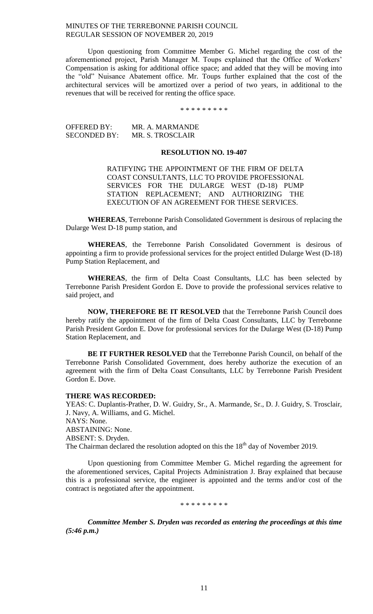Upon questioning from Committee Member G. Michel regarding the cost of the aforementioned project, Parish Manager M. Toups explained that the Office of Workers' Compensation is asking for additional office space; and added that they will be moving into the "old" Nuisance Abatement office. Mr. Toups further explained that the cost of the architectural services will be amortized over a period of two years, in additional to the revenues that will be received for renting the office space.

\* \* \* \* \* \* \* \* \*

OFFERED BY: MR. A. MARMANDE SECONDED BY: MR. S. TROSCLAIR

# **RESOLUTION NO. 19-407**

RATIFYING THE APPOINTMENT OF THE FIRM OF DELTA COAST CONSULTANTS, LLC TO PROVIDE PROFESSIONAL SERVICES FOR THE DULARGE WEST (D-18) PUMP STATION REPLACEMENT; AND AUTHORIZING THE EXECUTION OF AN AGREEMENT FOR THESE SERVICES.

**WHEREAS**, Terrebonne Parish Consolidated Government is desirous of replacing the Dularge West D-18 pump station, and

**WHEREAS**, the Terrebonne Parish Consolidated Government is desirous of appointing a firm to provide professional services for the project entitled Dularge West (D-18) Pump Station Replacement, and

**WHEREAS**, the firm of Delta Coast Consultants, LLC has been selected by Terrebonne Parish President Gordon E. Dove to provide the professional services relative to said project, and

**NOW, THEREFORE BE IT RESOLVED** that the Terrebonne Parish Council does hereby ratify the appointment of the firm of Delta Coast Consultants, LLC by Terrebonne Parish President Gordon E. Dove for professional services for the Dularge West (D-18) Pump Station Replacement, and

**BE IT FURTHER RESOLVED** that the Terrebonne Parish Council, on behalf of the Terrebonne Parish Consolidated Government, does hereby authorize the execution of an agreement with the firm of Delta Coast Consultants, LLC by Terrebonne Parish President Gordon E. Dove.

#### **THERE WAS RECORDED:**

YEAS: C. Duplantis-Prather, D. W. Guidry, Sr., A. Marmande, Sr., D. J. Guidry, S. Trosclair, J. Navy, A. Williams, and G. Michel. NAYS: None. ABSTAINING: None. ABSENT: S. Dryden. The Chairman declared the resolution adopted on this the 18<sup>th</sup> day of November 2019.

Upon questioning from Committee Member G. Michel regarding the agreement for the aforementioned services, Capital Projects Administration J. Bray explained that because this is a professional service, the engineer is appointed and the terms and/or cost of the contract is negotiated after the appointment.

\* \* \* \* \* \* \* \* \*

*Committee Member S. Dryden was recorded as entering the proceedings at this time (5:46 p.m.)*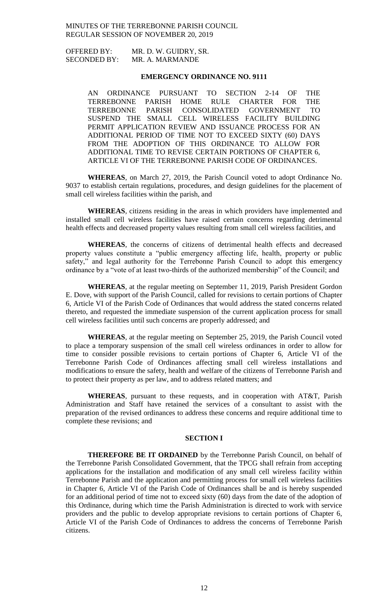OFFERED BY: MR. D. W. GUIDRY, SR. SECONDED BY: MR. A. MARMANDE

## **EMERGENCY ORDINANCE NO. 9111**

AN ORDINANCE PURSUANT TO SECTION 2-14 OF THE TERREBONNE PARISH HOME RULE CHARTER FOR THE TERREBONNE PARISH CONSOLIDATED GOVERNMENT TO SUSPEND THE SMALL CELL WIRELESS FACILITY BUILDING PERMIT APPLICATION REVIEW AND ISSUANCE PROCESS FOR AN ADDITIONAL PERIOD OF TIME NOT TO EXCEED SIXTY (60) DAYS FROM THE ADOPTION OF THIS ORDINANCE TO ALLOW FOR ADDITIONAL TIME TO REVISE CERTAIN PORTIONS OF CHAPTER 6, ARTICLE VI OF THE TERREBONNE PARISH CODE OF ORDINANCES.

**WHEREAS**, on March 27, 2019, the Parish Council voted to adopt Ordinance No. 9037 to establish certain regulations, procedures, and design guidelines for the placement of small cell wireless facilities within the parish, and

**WHEREAS**, citizens residing in the areas in which providers have implemented and installed small cell wireless facilities have raised certain concerns regarding detrimental health effects and decreased property values resulting from small cell wireless facilities, and

**WHEREAS**, the concerns of citizens of detrimental health effects and decreased property values constitute a "public emergency affecting life, health, property or public safety," and legal authority for the Terrebonne Parish Council to adopt this emergency ordinance by a "vote of at least two-thirds of the authorized membership" of the Council; and

**WHEREAS**, at the regular meeting on September 11, 2019, Parish President Gordon E. Dove, with support of the Parish Council, called for revisions to certain portions of Chapter 6, Article VI of the Parish Code of Ordinances that would address the stated concerns related thereto, and requested the immediate suspension of the current application process for small cell wireless facilities until such concerns are properly addressed; and

**WHEREAS**, at the regular meeting on September 25, 2019, the Parish Council voted to place a temporary suspension of the small cell wireless ordinances in order to allow for time to consider possible revisions to certain portions of Chapter 6, Article VI of the Terrebonne Parish Code of Ordinances affecting small cell wireless installations and modifications to ensure the safety, health and welfare of the citizens of Terrebonne Parish and to protect their property as per law, and to address related matters; and

**WHEREAS**, pursuant to these requests, and in cooperation with AT&T, Parish Administration and Staff have retained the services of a consultant to assist with the preparation of the revised ordinances to address these concerns and require additional time to complete these revisions; and

### **SECTION I**

**THEREFORE BE IT ORDAINED** by the Terrebonne Parish Council, on behalf of the Terrebonne Parish Consolidated Government, that the TPCG shall refrain from accepting applications for the installation and modification of any small cell wireless facility within Terrebonne Parish and the application and permitting process for small cell wireless facilities in Chapter 6, Article VI of the Parish Code of Ordinances shall be and is hereby suspended for an additional period of time not to exceed sixty (60) days from the date of the adoption of this Ordinance, during which time the Parish Administration is directed to work with service providers and the public to develop appropriate revisions to certain portions of Chapter 6, Article VI of the Parish Code of Ordinances to address the concerns of Terrebonne Parish citizens.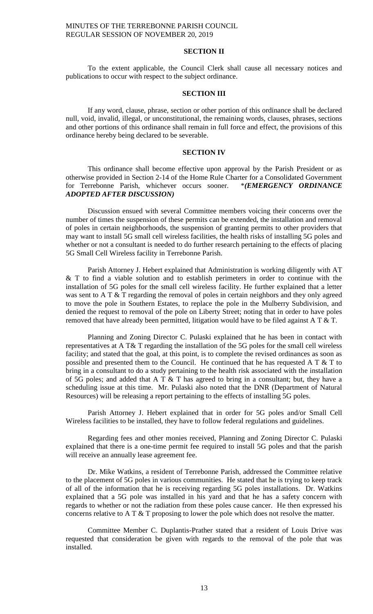## **SECTION II**

To the extent applicable, the Council Clerk shall cause all necessary notices and publications to occur with respect to the subject ordinance.

#### **SECTION III**

If any word, clause, phrase, section or other portion of this ordinance shall be declared null, void, invalid, illegal, or unconstitutional, the remaining words, clauses, phrases, sections and other portions of this ordinance shall remain in full force and effect, the provisions of this ordinance hereby being declared to be severable.

#### **SECTION IV**

This ordinance shall become effective upon approval by the Parish President or as otherwise provided in Section 2-14 of the Home Rule Charter for a Consolidated Government for Terrebonne Parish, whichever occurs sooner. \**(EMERGENCY ORDINANCE ADOPTED AFTER DISCUSSION)*

Discussion ensued with several Committee members voicing their concerns over the number of times the suspension of these permits can be extended, the installation and removal of poles in certain neighborhoods, the suspension of granting permits to other providers that may want to install 5G small cell wireless facilities, the health risks of installing 5G poles and whether or not a consultant is needed to do further research pertaining to the effects of placing 5G Small Cell Wireless facility in Terrebonne Parish.

Parish Attorney J. Hebert explained that Administration is working diligently with AT & T to find a viable solution and to establish perimeters in order to continue with the installation of 5G poles for the small cell wireless facility. He further explained that a letter was sent to A T & T regarding the removal of poles in certain neighbors and they only agreed to move the pole in Southern Estates, to replace the pole in the Mulberry Subdivision, and denied the request to removal of the pole on Liberty Street; noting that in order to have poles removed that have already been permitted, litigation would have to be filed against A T  $&$  T.

Planning and Zoning Director C. Pulaski explained that he has been in contact with representatives at A T& T regarding the installation of the 5G poles for the small cell wireless facility; and stated that the goal, at this point, is to complete the revised ordinances as soon as possible and presented them to the Council. He continued that he has requested A  $T \& T$  to bring in a consultant to do a study pertaining to the health risk associated with the installation of 5G poles; and added that A T & T has agreed to bring in a consultant; but, they have a scheduling issue at this time. Mr. Pulaski also noted that the DNR (Department of Natural Resources) will be releasing a report pertaining to the effects of installing 5G poles.

Parish Attorney J. Hebert explained that in order for 5G poles and/or Small Cell Wireless facilities to be installed, they have to follow federal regulations and guidelines.

Regarding fees and other monies received, Planning and Zoning Director C. Pulaski explained that there is a one-time permit fee required to install 5G poles and that the parish will receive an annually lease agreement fee.

Dr. Mike Watkins, a resident of Terrebonne Parish, addressed the Committee relative to the placement of 5G poles in various communities. He stated that he is trying to keep track of all of the information that he is receiving regarding 5G poles installations. Dr. Watkins explained that a 5G pole was installed in his yard and that he has a safety concern with regards to whether or not the radiation from these poles cause cancer. He then expressed his concerns relative to A T  $&$  T proposing to lower the pole which does not resolve the matter.

Committee Member C. Duplantis-Prather stated that a resident of Louis Drive was requested that consideration be given with regards to the removal of the pole that was installed.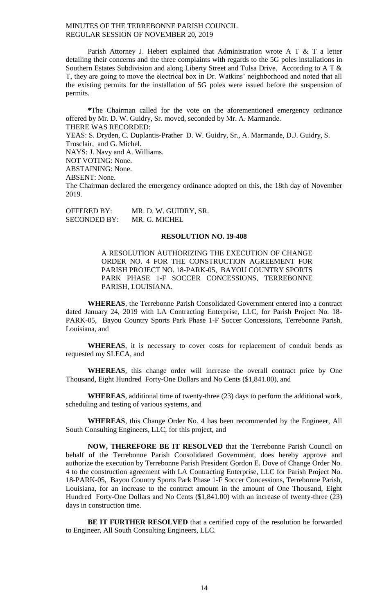Parish Attorney J. Hebert explained that Administration wrote A T  $&$  T a letter detailing their concerns and the three complaints with regards to the 5G poles installations in Southern Estates Subdivision and along Liberty Street and Tulsa Drive. According to A T & T, they are going to move the electrical box in Dr. Watkins' neighborhood and noted that all the existing permits for the installation of 5G poles were issued before the suspension of permits.

**\***The Chairman called for the vote on the aforementioned emergency ordinance offered by Mr. D. W. Guidry, Sr. moved, seconded by Mr. A. Marmande. THERE WAS RECORDED: YEAS: S. Dryden, C. Duplantis-Prather D. W. Guidry, Sr., A. Marmande, D.J. Guidry, S. Trosclair, and G. Michel. NAYS: J. Navy and A. Williams. NOT VOTING: None. ABSTAINING: None. ABSENT: None. The Chairman declared the emergency ordinance adopted on this, the 18th day of November 2019.

OFFERED BY: MR. D. W. GUIDRY, SR. SECONDED BY: MR. G. MICHEL

# **RESOLUTION NO. 19-408**

A RESOLUTION AUTHORIZING THE EXECUTION OF CHANGE ORDER NO. 4 FOR THE CONSTRUCTION AGREEMENT FOR PARISH PROJECT NO. 18-PARK-05, BAYOU COUNTRY SPORTS PARK PHASE 1-F SOCCER CONCESSIONS, TERREBONNE PARISH, LOUISIANA.

**WHEREAS**, the Terrebonne Parish Consolidated Government entered into a contract dated January 24, 2019 with LA Contracting Enterprise, LLC, for Parish Project No. 18- PARK-05, Bayou Country Sports Park Phase 1-F Soccer Concessions, Terrebonne Parish, Louisiana, and

**WHEREAS**, it is necessary to cover costs for replacement of conduit bends as requested my SLECA, and

**WHEREAS**, this change order will increase the overall contract price by One Thousand, Eight Hundred Forty-One Dollars and No Cents (\$1,841.00), and

**WHEREAS**, additional time of twenty-three (23) days to perform the additional work, scheduling and testing of various systems, and

**WHEREAS**, this Change Order No. 4 has been recommended by the Engineer, All South Consulting Engineers, LLC, for this project, and

**NOW, THEREFORE BE IT RESOLVED** that the Terrebonne Parish Council on behalf of the Terrebonne Parish Consolidated Government, does hereby approve and authorize the execution by Terrebonne Parish President Gordon E. Dove of Change Order No. 4 to the construction agreement with LA Contracting Enterprise, LLC for Parish Project No. 18-PARK-05, Bayou Country Sports Park Phase 1-F Soccer Concessions, Terrebonne Parish, Louisiana, for an increase to the contract amount in the amount of One Thousand, Eight Hundred Forty-One Dollars and No Cents (\$1,841.00) with an increase of twenty-three (23) days in construction time.

**BE IT FURTHER RESOLVED** that a certified copy of the resolution be forwarded to Engineer, All South Consulting Engineers, LLC.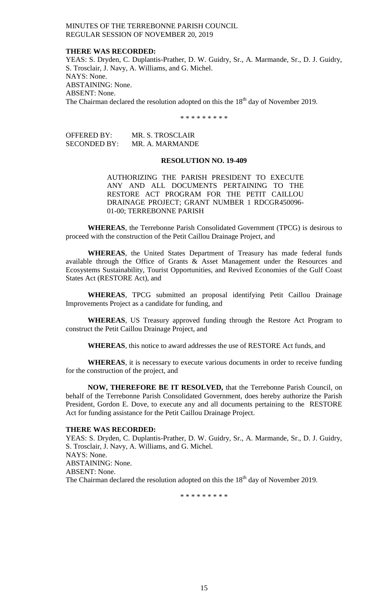### **THERE WAS RECORDED:**

YEAS: S. Dryden, C. Duplantis-Prather, D. W. Guidry, Sr., A. Marmande, Sr., D. J. Guidry, S. Trosclair, J. Navy, A. Williams, and G. Michel. NAYS: None. ABSTAINING: None. ABSENT: None. The Chairman declared the resolution adopted on this the  $18<sup>th</sup>$  day of November 2019.

\* \* \* \* \* \* \* \* \*

| <b>OFFERED BY:</b>  | MR. S. TROSCLAIR |
|---------------------|------------------|
| <b>SECONDED BY:</b> | MR. A. MARMANDE  |

### **RESOLUTION NO. 19-409**

AUTHORIZING THE PARISH PRESIDENT TO EXECUTE ANY AND ALL DOCUMENTS PERTAINING TO THE RESTORE ACT PROGRAM FOR THE PETIT CAILLOU DRAINAGE PROJECT; GRANT NUMBER 1 RDCGR450096- 01-00; TERREBONNE PARISH

**WHEREAS**, the Terrebonne Parish Consolidated Government (TPCG) is desirous to proceed with the construction of the Petit Caillou Drainage Project, and

**WHEREAS**, the United States Department of Treasury has made federal funds available through the Office of Grants & Asset Management under the Resources and Ecosystems Sustainability, Tourist Opportunities, and Revived Economies of the Gulf Coast States Act (RESTORE Act), and

**WHEREAS**, TPCG submitted an proposal identifying Petit Caillou Drainage Improvements Project as a candidate for funding, and

**WHEREAS**, US Treasury approved funding through the Restore Act Program to construct the Petit Caillou Drainage Project, and

**WHEREAS**, this notice to award addresses the use of RESTORE Act funds, and

**WHEREAS**, it is necessary to execute various documents in order to receive funding for the construction of the project, and

**NOW, THEREFORE BE IT RESOLVED,** that the Terrebonne Parish Council, on behalf of the Terrebonne Parish Consolidated Government, does hereby authorize the Parish President, Gordon E. Dove, to execute any and all documents pertaining to the RESTORE Act for funding assistance for the Petit Caillou Drainage Project.

### **THERE WAS RECORDED:**

YEAS: S. Dryden, C. Duplantis-Prather, D. W. Guidry, Sr., A. Marmande, Sr., D. J. Guidry, S. Trosclair, J. Navy, A. Williams, and G. Michel. NAYS: None. ABSTAINING: None. ABSENT: None. The Chairman declared the resolution adopted on this the  $18<sup>th</sup>$  day of November 2019.

\* \* \* \* \* \* \* \* \*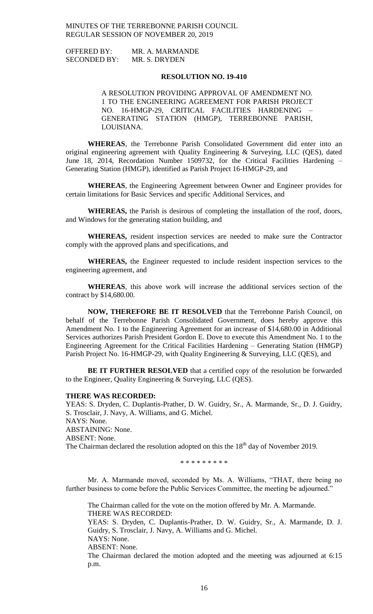| <b>OFFERED BY:</b>  | MR. A. MARMANDE |
|---------------------|-----------------|
| <b>SECONDED BY:</b> | MR. S. DRYDEN   |

### **RESOLUTION NO. 19-410**

A RESOLUTION PROVIDING APPROVAL OF AMENDMENT NO. 1 TO THE ENGINEERING AGREEMENT FOR PARISH PROJECT NO. 16-HMGP-29, CRITICAL FACILITIES HARDENING – GENERATING STATION (HMGP), TERREBONNE PARISH, LOUISIANA.

**WHEREAS**, the Terrebonne Parish Consolidated Government did enter into an original engineering agreement with Quality Engineering & Surveying, LLC (QES), dated June 18, 2014, Recordation Number 1509732, for the Critical Facilities Hardening – Generating Station (HMGP), identified as Parish Project 16-HMGP-29, and

**WHEREAS**, the Engineering Agreement between Owner and Engineer provides for certain limitations for Basic Services and specific Additional Services, and

**WHEREAS,** the Parish is desirous of completing the installation of the roof, doors, and Windows for the generating station building, and

**WHEREAS,** resident inspection services are needed to make sure the Contractor comply with the approved plans and specifications, and

**WHEREAS,** the Engineer requested to include resident inspection services to the engineering agreement, and

**WHEREAS**, this above work will increase the additional services section of the contract by \$14,680.00.

**NOW, THEREFORE BE IT RESOLVED** that the Terrebonne Parish Council, on behalf of the Terrebonne Parish Consolidated Government, does hereby approve this Amendment No. 1 to the Engineering Agreement for an increase of \$14,680.00 in Additional Services authorizes Parish President Gordon E. Dove to execute this Amendment No. 1 to the Engineering Agreement for the Critical Facilities Hardening – Generating Station (HMGP) Parish Project No. 16-HMGP-29, with Quality Engineering & Surveying, LLC (QES), and

**BE IT FURTHER RESOLVED** that a certified copy of the resolution be forwarded to the Engineer, Quality Engineering & Surveying, LLC (QES).

#### **THERE WAS RECORDED:**

YEAS: S. Dryden, C. Duplantis-Prather, D. W. Guidry, Sr., A. Marmande, Sr., D. J. Guidry, S. Trosclair, J. Navy, A. Williams, and G. Michel. NAYS: None. ABSTAINING: None. ABSENT: None. The Chairman declared the resolution adopted on this the  $18<sup>th</sup>$  day of November 2019.

\* \* \* \* \* \* \* \* \*

Mr. A. Marmande moved, seconded by Ms. A. Williams, "THAT, there being no further business to come before the Public Services Committee, the meeting be adjourned."

The Chairman called for the vote on the motion offered by Mr. A. Marmande. THERE WAS RECORDED: YEAS: S. Dryden, C. Duplantis-Prather, D. W. Guidry, Sr., A. Marmande, D. J. Guidry, S. Trosclair, J. Navy, A. Williams and G. Michel. NAYS: None.

ABSENT: None.

The Chairman declared the motion adopted and the meeting was adjourned at 6:15 p.m.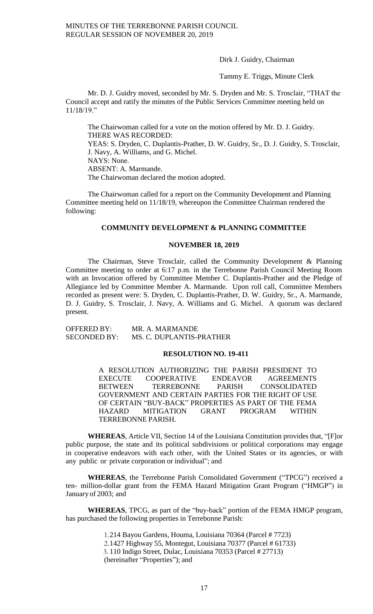Dirk J. Guidry, Chairman

Tammy E. Triggs, Minute Clerk

Mr. D. J. Guidry moved, seconded by Mr. S. Dryden and Mr. S. Trosclair, "THAT the Council accept and ratify the minutes of the Public Services Committee meeting held on 11/18/19."

The Chairwoman called for a vote on the motion offered by Mr. D. J. Guidry. THERE WAS RECORDED: YEAS: S. Dryden, C. Duplantis-Prather, D. W. Guidry, Sr., D. J. Guidry, S. Trosclair, J. Navy, A. Williams, and G. Michel. NAYS: None. ABSENT: A. Marmande. The Chairwoman declared the motion adopted.

The Chairwoman called for a report on the Community Development and Planning Committee meeting held on 11/18/19, whereupon the Committee Chairman rendered the following:

# **COMMUNITY DEVELOPMENT & PLANNING COMMITTEE**

### **NOVEMBER 18, 2019**

The Chairman, Steve Trosclair, called the Community Development & Planning Committee meeting to order at 6:17 p.m. in the Terrebonne Parish Council Meeting Room with an Invocation offered by Committee Member C. Duplantis-Prather and the Pledge of Allegiance led by Committee Member A. Marmande. Upon roll call, Committee Members recorded as present were: S. Dryden, C. Duplantis-Prather, D. W. Guidry, Sr., A. Marmande, D. J. Guidry, S. Trosclair, J. Navy, A. Williams and G. Michel. A quorum was declared present.

OFFERED BY: MR. A. MARMANDE SECONDED BY: MS. C. DUPLANTIS-PRATHER

#### **RESOLUTION NO. 19-411**

A RESOLUTION AUTHORIZING THE PARISH PRESIDENT TO EXECUTE COOPERATIVE ENDEAVOR AGREEMENTS BETWEEN TERREBONNE PARISH CONSOLIDATED GOVERNMENT AND CERTAIN PARTIES FOR THE RIGHT OF USE OF CERTAIN "BUY-BACK" PROPERTIES AS PART OF THE FEMA HAZARD MITIGATION GRANT PROGRAM WITHIN TERREBONNE PARISH.

**WHEREAS**, Article VII, Section 14 of the Louisiana Constitution provides that, "[F]or public purpose, the state and its political subdivisions or political corporations may engage in cooperative endeavors with each other, with the United States or its agencies, or with any public or private corporation or individual"; and

**WHEREAS**, the Terrebonne Parish Consolidated Government ("TPCG") received a ten- million-dollar grant from the FEMA Hazard Mitigation Grant Program ("HMGP") in January of 2003; and

**WHEREAS**, TPCG, as part of the "buy-back" portion of the FEMA HMGP program, has purchased the following properties in Terrebonne Parish:

> 1.214 Bayou Gardens, Houma, Louisiana 70364 (Parcel # 7723) 2.1427 Highway 55, Montegut, Louisiana 70377 (Parcel # 61733) 3. 110 Indigo Street, Dulac, Louisiana 70353 (Parcel # 27713) (hereinafter "Properties"); and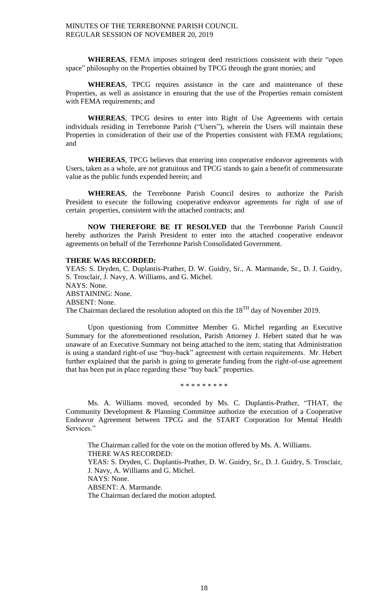**WHEREAS**, FEMA imposes stringent deed restrictions consistent with their "open space" philosophy on the Properties obtained by TPCG through the grant monies; and

**WHEREAS**, TPCG requires assistance in the care and maintenance of these Properties, as well as assistance in ensuring that the use of the Properties remain consistent with FEMA requirements; and

**WHEREAS**, TPCG desires to enter into Right of Use Agreements with certain individuals residing in Terrebonne Parish ("Users"), wherein the Users will maintain these Properties in consideration of their use of the Properties consistent with FEMA regulations; and

**WHEREAS**, TPCG believes that entering into cooperative endeavor agreements with Users, taken as a whole, are not gratuitous and TPCG stands to gain a benefit of commensurate value as the public funds expended herein; and

**WHEREAS**, the Terrebonne Parish Council desires to authorize the Parish President to execute the following cooperative endeavor agreements for right of use of certain properties, consistent with the attached contracts; and

**NOW THEREFORE BE IT RESOLVED** that the Terrebonne Parish Council hereby authorizes the Parish President to enter into the attached cooperative endeavor agreements on behalf of the Terrebonne Parish Consolidated Government.

# **THERE WAS RECORDED:**

YEAS: S. Dryden, C. Duplantis-Prather, D. W. Guidry, Sr., A. Marmande, Sr., D. J. Guidry, S. Trosclair, J. Navy, A. Williams, and G. Michel. NAYS: None. ABSTAINING: None. ABSENT: None. The Chairman declared the resolution adopted on this the 18<sup>TH</sup> day of November 2019.

Upon questioning from Committee Member G. Michel regarding an Executive Summary for the aforementioned resolution, Parish Attorney J. Hebert stated that he was unaware of an Executive Summary not being attached to the item; stating that Administration is using a standard right-of use "buy-back" agreement with certain requirements. Mr. Hebert further explained that the parish is going to generate funding from the right-of-use agreement that has been put in place regarding these "buy back" properties.

\* \* \* \* \* \* \* \* \*

Ms. A. Williams moved, seconded by Ms. C. Duplantis-Prather, "THAT, the Community Development & Planning Committee authorize the execution of a Cooperative Endeavor Agreement between TPCG and the START Corporation for Mental Health Services."

The Chairman called for the vote on the motion offered by Ms. A. Williams. THERE WAS RECORDED: YEAS: S. Dryden, C. Duplantis-Prather, D. W. Guidry, Sr., D. J. Guidry, S. Trosclair, J. Navy, A. Williams and G. Michel. NAYS: None. ABSENT: A. Marmande. The Chairman declared the motion adopted.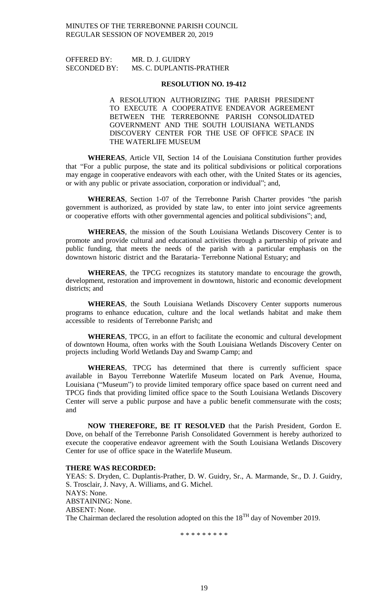# OFFERED BY: MR. D. J. GUIDRY SECONDED BY: MS. C. DUPLANTIS-PRATHER

#### **RESOLUTION NO. 19-412**

A RESOLUTION AUTHORIZING THE PARISH PRESIDENT TO EXECUTE A COOPERATIVE ENDEAVOR AGREEMENT BETWEEN THE TERREBONNE PARISH CONSOLIDATED GOVERNMENT AND THE SOUTH LOUISIANA WETLANDS DISCOVERY CENTER FOR THE USE OF OFFICE SPACE IN THE WATERLIFE MUSEUM

**WHEREAS**, Article VII, Section 14 of the Louisiana Constitution further provides that "For a public purpose, the state and its political subdivisions or political corporations may engage in cooperative endeavors with each other, with the United States or its agencies, or with any public or private association, corporation or individual"; and,

**WHEREAS**, Section 1-07 of the Terrebonne Parish Charter provides "the parish government is authorized, as provided by state law, to enter into joint service agreements or cooperative efforts with other governmental agencies and political subdivisions"; and,

**WHEREAS**, the mission of the South Louisiana Wetlands Discovery Center is to promote and provide cultural and educational activities through a partnership of private and public funding, that meets the needs of the parish with a particular emphasis on the downtown historic district and the Barataria- Terrebonne National Estuary; and

**WHEREAS**, the TPCG recognizes its statutory mandate to encourage the growth, development, restoration and improvement in downtown, historic and economic development districts; and

**WHEREAS**, the South Louisiana Wetlands Discovery Center supports numerous programs to enhance education, culture and the local wetlands habitat and make them accessible to residents of Terrebonne Parish; and

**WHEREAS**, TPCG, in an effort to facilitate the economic and cultural development of downtown Houma, often works with the South Louisiana Wetlands Discovery Center on projects including World Wetlands Day and Swamp Camp; and

**WHEREAS**, TPCG has determined that there is currently sufficient space available in Bayou Terrebonne Waterlife Museum located on Park Avenue, Houma, Louisiana ("Museum") to provide limited temporary office space based on current need and TPCG finds that providing limited office space to the South Louisiana Wetlands Discovery Center will serve a public purpose and have a public benefit commensurate with the costs; and

**NOW THEREFORE, BE IT RESOLVED** that the Parish President, Gordon E. Dove, on behalf of the Terrebonne Parish Consolidated Government is hereby authorized to execute the cooperative endeavor agreement with the South Louisiana Wetlands Discovery Center for use of office space in the Waterlife Museum.

#### **THERE WAS RECORDED:**

YEAS: S. Dryden, C. Duplantis-Prather, D. W. Guidry, Sr., A. Marmande, Sr., D. J. Guidry, S. Trosclair, J. Navy, A. Williams, and G. Michel. NAYS: None. ABSTAINING: None. ABSENT: None. The Chairman declared the resolution adopted on this the 18<sup>TH</sup> day of November 2019.

\* \* \* \* \* \* \* \* \*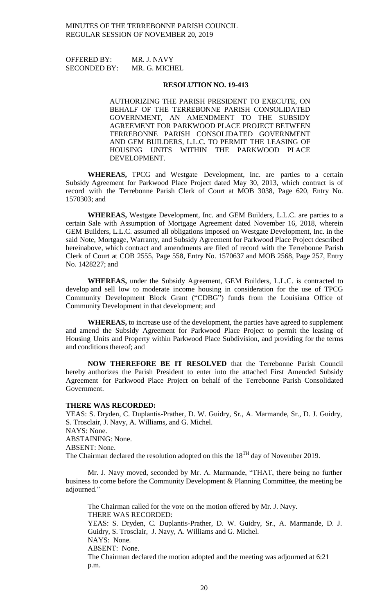OFFERED BY: MR. J. NAVY SECONDED BY: MR. G. MICHEL

#### **RESOLUTION NO. 19-413**

AUTHORIZING THE PARISH PRESIDENT TO EXECUTE, ON BEHALF OF THE TERREBONNE PARISH CONSOLIDATED GOVERNMENT, AN AMENDMENT TO THE SUBSIDY AGREEMENT FOR PARKWOOD PLACE PROJECT BETWEEN TERREBONNE PARISH CONSOLIDATED GOVERNMENT AND GEM BUILDERS, L.L.C. TO PERMIT THE LEASING OF HOUSING UNITS WITHIN THE PARKWOOD PLACE DEVELOPMENT.

**WHEREAS,** TPCG and Westgate Development, Inc. are parties to a certain Subsidy Agreement for Parkwood Place Project dated May 30, 2013, which contract is of record with the Terrebonne Parish Clerk of Court at MOB 3038, Page 620, Entry No. 1570303; and

**WHEREAS,** Westgate Development, Inc. and GEM Builders, L.L.C. are parties to a certain Sale with Assumption of Mortgage Agreement dated November 16, 2018, wherein GEM Builders, L.L.C. assumed all obligations imposed on Westgate Development, Inc. in the said Note, Mortgage, Warranty, and Subsidy Agreement for Parkwood Place Project described hereinabove, which contract and amendments are filed of record with the Terrebonne Parish Clerk of Court at COB 2555, Page 558, Entry No. 1570637 and MOB 2568, Page 257, Entry No. 1428227; and

**WHEREAS,** under the Subsidy Agreement, GEM Builders, L.L.C. is contracted to develop and sell low to moderate income housing in consideration for the use of TPCG Community Development Block Grant ("CDBG") funds from the Louisiana Office of Community Development in that development; and

**WHEREAS,** to increase use of the development, the parties have agreed to supplement and amend the Subsidy Agreement for Parkwood Place Project to permit the leasing of Housing Units and Property within Parkwood Place Subdivision, and providing for the terms and conditions thereof; and

**NOW THEREFORE BE IT RESOLVED** that the Terrebonne Parish Council hereby authorizes the Parish President to enter into the attached First Amended Subsidy Agreement for Parkwood Place Project on behalf of the Terrebonne Parish Consolidated Government.

### **THERE WAS RECORDED:**

YEAS: S. Dryden, C. Duplantis-Prather, D. W. Guidry, Sr., A. Marmande, Sr., D. J. Guidry, S. Trosclair, J. Navy, A. Williams, and G. Michel. NAYS: None. ABSTAINING: None. ABSENT: None. The Chairman declared the resolution adopted on this the 18<sup>TH</sup> day of November 2019.

Mr. J. Navy moved, seconded by Mr. A. Marmande, "THAT, there being no further business to come before the Community Development & Planning Committee, the meeting be adjourned."

The Chairman called for the vote on the motion offered by Mr. J. Navy. THERE WAS RECORDED: YEAS: S. Dryden, C. Duplantis-Prather, D. W. Guidry, Sr., A. Marmande, D. J. Guidry, S. Trosclair, J. Navy, A. Williams and G. Michel. NAYS: None. ABSENT: None. The Chairman declared the motion adopted and the meeting was adjourned at 6:21 p.m.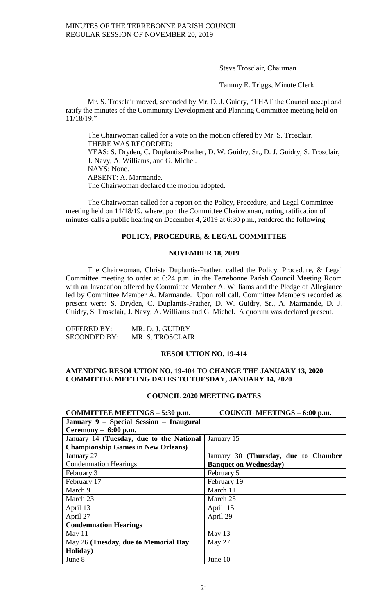Steve Trosclair, Chairman

Tammy E. Triggs, Minute Clerk

Mr. S. Trosclair moved, seconded by Mr. D. J. Guidry, "THAT the Council accept and ratify the minutes of the Community Development and Planning Committee meeting held on 11/18/19."

The Chairwoman called for a vote on the motion offered by Mr. S. Trosclair. THERE WAS RECORDED:

YEAS: S. Dryden, C. Duplantis-Prather, D. W. Guidry, Sr., D. J. Guidry, S. Trosclair, J. Navy, A. Williams, and G. Michel.

NAYS: None.

ABSENT: A. Marmande.

The Chairwoman declared the motion adopted.

The Chairwoman called for a report on the Policy, Procedure, and Legal Committee meeting held on 11/18/19, whereupon the Committee Chairwoman, noting ratification of minutes calls a public hearing on December 4, 2019 at 6:30 p.m., rendered the following:

# **POLICY, PROCEDURE, & LEGAL COMMITTEE**

### **NOVEMBER 18, 2019**

The Chairwoman, Christa Duplantis-Prather, called the Policy, Procedure, & Legal Committee meeting to order at 6:24 p.m. in the Terrebonne Parish Council Meeting Room with an Invocation offered by Committee Member A. Williams and the Pledge of Allegiance led by Committee Member A. Marmande. Upon roll call, Committee Members recorded as present were: S. Dryden, C. Duplantis-Prather, D. W. Guidry, Sr., A. Marmande, D. J. Guidry, S. Trosclair, J. Navy, A. Williams and G. Michel. A quorum was declared present.

| OFFERED BY:         | MR. D. J. GUIDRY |
|---------------------|------------------|
| <b>SECONDED BY:</b> | MR. S. TROSCLAIR |

# **RESOLUTION NO. 19-414**

# **AMENDING RESOLUTION NO. 19-404 TO CHANGE THE JANUARY 13, 2020 COMMITTEE MEETING DATES TO TUESDAY, JANUARY 14, 2020**

# **COUNCIL 2020 MEETING DATES**

| COMMITTEE MEETINGS - 5:30 p.m.            | COUNCIL MEETINGS - 6:00 p.m.         |
|-------------------------------------------|--------------------------------------|
| January 9 - Special Session - Inaugural   |                                      |
| Ceremony $-6:00$ p.m.                     |                                      |
| January 14 (Tuesday, due to the National  | January 15                           |
| <b>Championship Games in New Orleans)</b> |                                      |
| January 27                                | January 30 (Thursday, due to Chamber |
| <b>Condemnation Hearings</b>              | <b>Banquet on Wednesday</b> )        |
| February 3                                | February 5                           |
| February 17                               | February 19                          |
| March 9                                   | March 11                             |
| March 23                                  | March 25                             |
| April 13                                  | April 15                             |
| April 27                                  | April 29                             |
| <b>Condemnation Hearings</b>              |                                      |
| May $11$                                  | May 13                               |
| May 26 (Tuesday, due to Memorial Day      | May 27                               |
| Holiday)                                  |                                      |
| June 8                                    | June 10                              |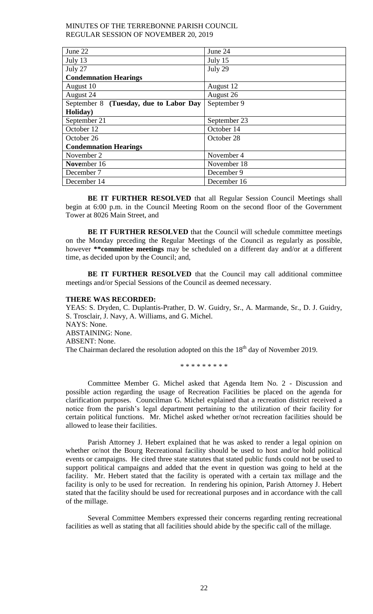| June 22                                | June 24      |
|----------------------------------------|--------------|
| July 13                                | July 15      |
| July 27                                | July 29      |
| <b>Condemnation Hearings</b>           |              |
| August 10                              | August 12    |
| August 24                              | August 26    |
| September 8 (Tuesday, due to Labor Day | September 9  |
| Holiday)                               |              |
| September 21                           | September 23 |
| October 12                             | October 14   |
| October 26                             | October 28   |
| <b>Condemnation Hearings</b>           |              |
| November 2                             | November 4   |
| November 16                            | November 18  |
| December 7                             | December 9   |
| December 14                            | December 16  |

**BE IT FURTHER RESOLVED** that all Regular Session Council Meetings shall begin at 6:00 p.m. in the Council Meeting Room on the second floor of the Government Tower at 8026 Main Street, and

**BE IT FURTHER RESOLVED** that the Council will schedule committee meetings on the Monday preceding the Regular Meetings of the Council as regularly as possible, however **\*\*committee meetings** may be scheduled on a different day and/or at a different time, as decided upon by the Council; and,

**BE IT FURTHER RESOLVED** that the Council may call additional committee meetings and/or Special Sessions of the Council as deemed necessary.

# **THERE WAS RECORDED:**

YEAS: S. Dryden, C. Duplantis-Prather, D. W. Guidry, Sr., A. Marmande, Sr., D. J. Guidry, S. Trosclair, J. Navy, A. Williams, and G. Michel. NAYS: None. ABSTAINING: None. ABSENT: None. The Chairman declared the resolution adopted on this the  $18<sup>th</sup>$  day of November 2019.

\* \* \* \* \* \* \* \* \*

Committee Member G. Michel asked that Agenda Item No. 2 - Discussion and possible action regarding the usage of Recreation Facilities be placed on the agenda for clarification purposes. Councilman G. Michel explained that a recreation district received a notice from the parish's legal department pertaining to the utilization of their facility for certain political functions. Mr. Michel asked whether or/not recreation facilities should be allowed to lease their facilities.

Parish Attorney J. Hebert explained that he was asked to render a legal opinion on whether or/not the Bourg Recreational facility should be used to host and/or hold political events or campaigns. He cited three state statutes that stated public funds could not be used to support political campaigns and added that the event in question was going to held at the facility. Mr. Hebert stated that the facility is operated with a certain tax millage and the facility is only to be used for recreation. In rendering his opinion, Parish Attorney J. Hebert stated that the facility should be used for recreational purposes and in accordance with the call of the millage.

Several Committee Members expressed their concerns regarding renting recreational facilities as well as stating that all facilities should abide by the specific call of the millage.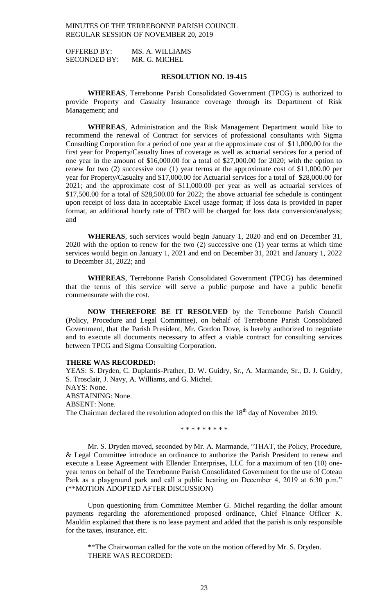OFFERED BY: MS. A. WILLIAMS SECONDED BY: MR. G. MICHEL

# **RESOLUTION NO. 19-415**

**WHEREAS**, Terrebonne Parish Consolidated Government (TPCG) is authorized to provide Property and Casualty Insurance coverage through its Department of Risk Management; and

**WHEREAS**, Administration and the Risk Management Department would like to recommend the renewal of Contract for services of professional consultants with Sigma Consulting Corporation for a period of one year at the approximate cost of \$11,000.00 for the first year for Property/Casualty lines of coverage as well as actuarial services for a period of one year in the amount of \$16,000.00 for a total of \$27,000.00 for 2020; with the option to renew for two (2) successive one (1) year terms at the approximate cost of \$11,000.00 per year for Property/Casualty and \$17,000.00 for Actuarial services for a total of \$28,000.00 for 2021; and the approximate cost of \$11,000.00 per year as well as actuarial services of \$17,500.00 for a total of \$28,500.00 for 2022; the above actuarial fee schedule is contingent upon receipt of loss data in acceptable Excel usage format; if loss data is provided in paper format, an additional hourly rate of TBD will be charged for loss data conversion/analysis; and

**WHEREAS**, such services would begin January 1, 2020 and end on December 31, 2020 with the option to renew for the two (2) successive one (1) year terms at which time services would begin on January 1, 2021 and end on December 31, 2021 and January 1, 2022 to December 31, 2022; and

**WHEREAS**, Terrebonne Parish Consolidated Government (TPCG) has determined that the terms of this service will serve a public purpose and have a public benefit commensurate with the cost.

**NOW THEREFORE BE IT RESOLVED** by the Terrebonne Parish Council (Policy, Procedure and Legal Committee), on behalf of Terrebonne Parish Consolidated Government, that the Parish President, Mr. Gordon Dove, is hereby authorized to negotiate and to execute all documents necessary to affect a viable contract for consulting services between TPCG and Sigma Consulting Corporation.

### **THERE WAS RECORDED:**

YEAS: S. Dryden, C. Duplantis-Prather, D. W. Guidry, Sr., A. Marmande, Sr., D. J. Guidry, S. Trosclair, J. Navy, A. Williams, and G. Michel. NAYS: None. ABSTAINING: None. ABSENT: None. The Chairman declared the resolution adopted on this the  $18<sup>th</sup>$  day of November 2019.

\* \* \* \* \* \* \* \* \*

Mr. S. Dryden moved, seconded by Mr. A. Marmande, "THAT, the Policy, Procedure, & Legal Committee introduce an ordinance to authorize the Parish President to renew and execute a Lease Agreement with Ellender Enterprises, LLC for a maximum of ten (10) oneyear terms on behalf of the Terrebonne Parish Consolidated Government for the use of Coteau Park as a playground park and call a public hearing on December 4, 2019 at 6:30 p.m." (\*\*MOTION ADOPTED AFTER DISCUSSION)

Upon questioning from Committee Member G. Michel regarding the dollar amount payments regarding the aforementioned proposed ordinance, Chief Finance Officer K. Mauldin explained that there is no lease payment and added that the parish is only responsible for the taxes, insurance, etc.

\*\*The Chairwoman called for the vote on the motion offered by Mr. S. Dryden. THERE WAS RECORDED: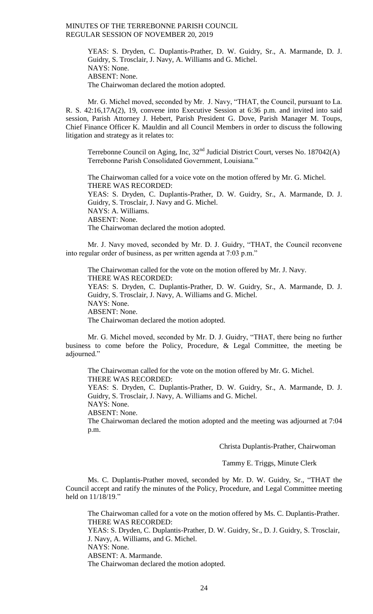YEAS: S. Dryden, C. Duplantis-Prather, D. W. Guidry, Sr., A. Marmande, D. J. Guidry, S. Trosclair, J. Navy, A. Williams and G. Michel. NAYS: None. ABSENT: None. The Chairwoman declared the motion adopted.

Mr. G. Michel moved, seconded by Mr. J. Navy, "THAT, the Council, pursuant to La. R. S. 42:16,17A(2), 19, convene into Executive Session at 6:36 p.m. and invited into said session, Parish Attorney J. Hebert, Parish President G. Dove, Parish Manager M. Toups, Chief Finance Officer K. Mauldin and all Council Members in order to discuss the following litigation and strategy as it relates to:

Terrebonne Council on Aging, Inc,  $32<sup>nd</sup>$  Judicial District Court, verses No. 187042(A) Terrebonne Parish Consolidated Government, Louisiana."

The Chairwoman called for a voice vote on the motion offered by Mr. G. Michel. THERE WAS RECORDED: YEAS: S. Dryden, C. Duplantis-Prather, D. W. Guidry, Sr., A. Marmande, D. J. Guidry, S. Trosclair, J. Navy and G. Michel. NAYS: A. Williams. ABSENT: None. The Chairwoman declared the motion adopted.

Mr. J. Navy moved, seconded by Mr. D. J. Guidry, "THAT, the Council reconvene into regular order of business, as per written agenda at 7:03 p.m."

The Chairwoman called for the vote on the motion offered by Mr. J. Navy. THERE WAS RECORDED: YEAS: S. Dryden, C. Duplantis-Prather, D. W. Guidry, Sr., A. Marmande, D. J. Guidry, S. Trosclair, J. Navy, A. Williams and G. Michel. NAYS: None. ABSENT: None. The Chairwoman declared the motion adopted.

Mr. G. Michel moved, seconded by Mr. D. J. Guidry, "THAT, there being no further business to come before the Policy, Procedure, & Legal Committee, the meeting be adjourned."

The Chairwoman called for the vote on the motion offered by Mr. G. Michel. THERE WAS RECORDED: YEAS: S. Dryden, C. Duplantis-Prather, D. W. Guidry, Sr., A. Marmande, D. J. Guidry, S. Trosclair, J. Navy, A. Williams and G. Michel.

NAYS: None.

ABSENT: None.

The Chairwoman declared the motion adopted and the meeting was adjourned at 7:04 p.m.

Christa Duplantis-Prather, Chairwoman

Tammy E. Triggs, Minute Clerk

Ms. C. Duplantis-Prather moved, seconded by Mr. D. W. Guidry, Sr., "THAT the Council accept and ratify the minutes of the Policy, Procedure, and Legal Committee meeting held on  $11/18/19$ ."

The Chairwoman called for a vote on the motion offered by Ms. C. Duplantis-Prather. THERE WAS RECORDED:

YEAS: S. Dryden, C. Duplantis-Prather, D. W. Guidry, Sr., D. J. Guidry, S. Trosclair, J. Navy, A. Williams, and G. Michel.

NAYS: None.

ABSENT: A. Marmande.

The Chairwoman declared the motion adopted.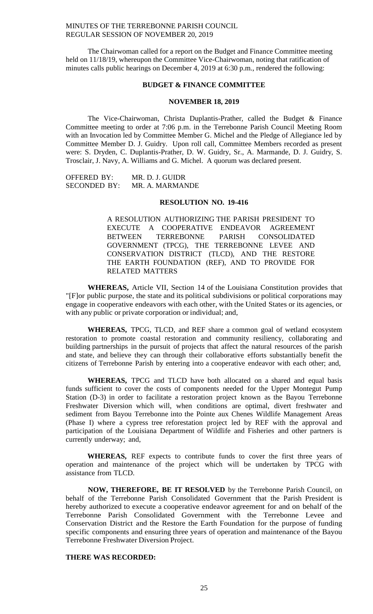The Chairwoman called for a report on the Budget and Finance Committee meeting held on 11/18/19, whereupon the Committee Vice-Chairwoman, noting that ratification of minutes calls public hearings on December 4, 2019 at 6:30 p.m., rendered the following:

### **BUDGET & FINANCE COMMITTEE**

#### **NOVEMBER 18, 2019**

The Vice-Chairwoman, Christa Duplantis-Prather, called the Budget & Finance Committee meeting to order at 7:06 p.m. in the Terrebonne Parish Council Meeting Room with an Invocation led by Committee Member G. Michel and the Pledge of Allegiance led by Committee Member D. J. Guidry. Upon roll call, Committee Members recorded as present were: S. Dryden, C. Duplantis-Prather, D. W. Guidry, Sr., A. Marmande, D. J. Guidry, S. Trosclair, J. Navy, A. Williams and G. Michel. A quorum was declared present.

OFFERED BY: MR. D. J. GUIDR SECONDED BY: MR. A. MARMANDE

### **RESOLUTION NO. 19-416**

A RESOLUTION AUTHORIZING THE PARISH PRESIDENT TO EXECUTE A COOPERATIVE ENDEAVOR AGREEMENT<br>BETWEEN TERREBONNE PARISH CONSOLIDATED TERREBONNE PARISH CONSOLIDATED GOVERNMENT (TPCG), THE TERREBONNE LEVEE AND CONSERVATION DISTRICT (TLCD), AND THE RESTORE THE EARTH FOUNDATION (REF), AND TO PROVIDE FOR RELATED MATTERS

**WHEREAS,** Article VII, Section 14 of the Louisiana Constitution provides that "[F]or public purpose, the state and its political subdivisions or political corporations may engage in cooperative endeavors with each other, with the United States or its agencies, or with any public or private corporation or individual; and,

**WHEREAS,** TPCG, TLCD, and REF share a common goal of wetland ecosystem restoration to promote coastal restoration and community resiliency, collaborating and building partnerships in the pursuit of projects that affect the natural resources of the parish and state, and believe they can through their collaborative efforts substantially benefit the citizens of Terrebonne Parish by entering into a cooperative endeavor with each other; and,

**WHEREAS,** TPCG and TLCD have both allocated on a shared and equal basis funds sufficient to cover the costs of components needed for the Upper Montegut Pump Station (D-3) in order to facilitate a restoration project known as the Bayou Terrebonne Freshwater Diversion which will, when conditions are optimal, divert freshwater and sediment from Bayou Terrebonne into the Pointe aux Chenes Wildlife Management Areas (Phase I) where a cypress tree reforestation project led by REF with the approval and participation of the Louisiana Department of Wildlife and Fisheries and other partners is currently underway; and,

**WHEREAS,** REF expects to contribute funds to cover the first three years of operation and maintenance of the project which will be undertaken by TPCG with assistance from TLCD.

**NOW, THEREFORE, BE IT RESOLVED** by the Terrebonne Parish Council, on behalf of the Terrebonne Parish Consolidated Government that the Parish President is hereby authorized to execute a cooperative endeavor agreement for and on behalf of the Terrebonne Parish Consolidated Government with the Terrebonne Levee and Conservation District and the Restore the Earth Foundation for the purpose of funding specific components and ensuring three years of operation and maintenance of the Bayou Terrebonne Freshwater Diversion Project.

# **THERE WAS RECORDED:**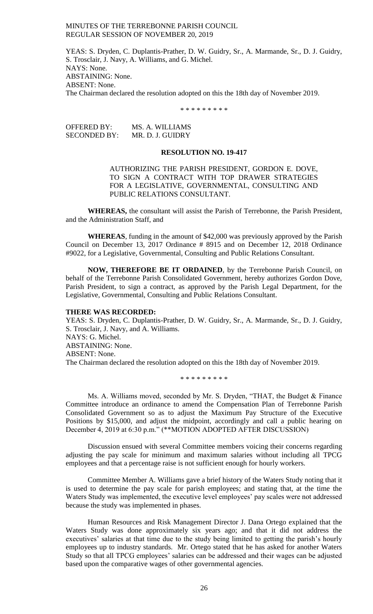YEAS: S. Dryden, C. Duplantis-Prather, D. W. Guidry, Sr., A. Marmande, Sr., D. J. Guidry, S. Trosclair, J. Navy, A. Williams, and G. Michel. NAYS: None. ABSTAINING: None. ABSENT: None. The Chairman declared the resolution adopted on this the 18th day of November 2019.

\* \* \* \* \* \* \* \* \*

OFFERED BY: MS. A. WILLIAMS SECONDED BY: MR. D. J. GUIDRY

# **RESOLUTION NO. 19-417**

AUTHORIZING THE PARISH PRESIDENT, GORDON E. DOVE, TO SIGN A CONTRACT WITH TOP DRAWER STRATEGIES FOR A LEGISLATIVE, GOVERNMENTAL, CONSULTING AND PUBLIC RELATIONS CONSULTANT.

**WHEREAS,** the consultant will assist the Parish of Terrebonne, the Parish President, and the Administration Staff, and

**WHEREAS**, funding in the amount of \$42,000 was previously approved by the Parish Council on December 13, 2017 Ordinance # 8915 and on December 12, 2018 Ordinance #9022, for a Legislative, Governmental, Consulting and Public Relations Consultant.

**NOW, THEREFORE BE IT ORDAINED**, by the Terrebonne Parish Council, on behalf of the Terrebonne Parish Consolidated Government, hereby authorizes Gordon Dove, Parish President, to sign a contract, as approved by the Parish Legal Department, for the Legislative, Governmental, Consulting and Public Relations Consultant.

# **THERE WAS RECORDED:**

YEAS: S. Dryden, C. Duplantis-Prather, D. W. Guidry, Sr., A. Marmande, Sr., D. J. Guidry, S. Trosclair, J. Navy, and A. Williams. NAYS: G. Michel. ABSTAINING: None. ABSENT: None. The Chairman declared the resolution adopted on this the 18th day of November 2019.

\* \* \* \* \* \* \* \* \*

Ms. A. Williams moved, seconded by Mr. S. Dryden, "THAT, the Budget & Finance Committee introduce an ordinance to amend the Compensation Plan of Terrebonne Parish Consolidated Government so as to adjust the Maximum Pay Structure of the Executive Positions by \$15,000, and adjust the midpoint, accordingly and call a public hearing on December 4, 2019 at 6:30 p.m." (\*\*MOTION ADOPTED AFTER DISCUSSION)

Discussion ensued with several Committee members voicing their concerns regarding adjusting the pay scale for minimum and maximum salaries without including all TPCG employees and that a percentage raise is not sufficient enough for hourly workers.

Committee Member A. Williams gave a brief history of the Waters Study noting that it is used to determine the pay scale for parish employees; and stating that, at the time the Waters Study was implemented, the executive level employees' pay scales were not addressed because the study was implemented in phases.

Human Resources and Risk Management Director J. Dana Ortego explained that the Waters Study was done approximately six years ago; and that it did not address the executives' salaries at that time due to the study being limited to getting the parish's hourly employees up to industry standards. Mr. Ortego stated that he has asked for another Waters Study so that all TPCG employees' salaries can be addressed and their wages can be adjusted based upon the comparative wages of other governmental agencies.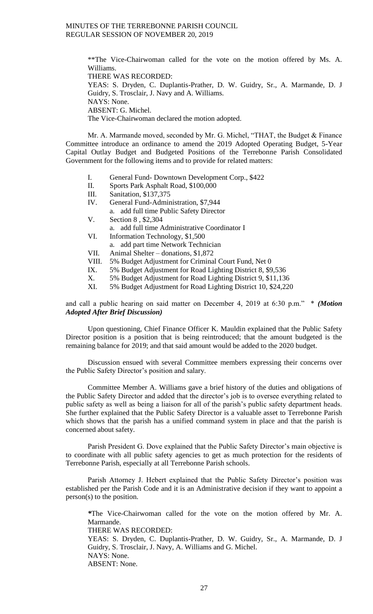\*\*The Vice-Chairwoman called for the vote on the motion offered by Ms. A. Williams.

THERE WAS RECORDED:

YEAS: S. Dryden, C. Duplantis-Prather, D. W. Guidry, Sr., A. Marmande, D. J Guidry, S. Trosclair, J. Navy and A. Williams.

NAYS: None.

ABSENT: G. Michel.

The Vice-Chairwoman declared the motion adopted.

Mr. A. Marmande moved, seconded by Mr. G. Michel, "THAT, the Budget & Finance Committee introduce an ordinance to amend the 2019 Adopted Operating Budget, 5-Year Capital Outlay Budget and Budgeted Positions of the Terrebonne Parish Consolidated Government for the following items and to provide for related matters:

- I. General Fund- Downtown Development Corp., \$422
- II. Sports Park Asphalt Road, \$100,000
- III. Sanitation, \$137,375
- IV. General Fund-Administration, \$7,944
	- a. add full time Public Safety Director
- V. Section 8 , \$2,304
	- a. add full time Administrative Coordinator I
- VI. Information Technology, \$1,500
	- a. add part time Network Technician
- VII. Animal Shelter donations, \$1,872
- VIII. 5% Budget Adjustment for Criminal Court Fund, Net 0
- IX. 5% Budget Adjustment for Road Lighting District 8, \$9,536
- X. 5% Budget Adjustment for Road Lighting District 9, \$11,136
- XI. 5% Budget Adjustment for Road Lighting District 10, \$24,220

and call a public hearing on said matter on December 4, 2019 at 6:30 p.m." \* *(Motion Adopted After Brief Discussion)*

Upon questioning, Chief Finance Officer K. Mauldin explained that the Public Safety Director position is a position that is being reintroduced; that the amount budgeted is the remaining balance for 2019; and that said amount would be added to the 2020 budget.

Discussion ensued with several Committee members expressing their concerns over the Public Safety Director's position and salary.

Committee Member A. Williams gave a brief history of the duties and obligations of the Public Safety Director and added that the director's job is to oversee everything related to public safety as well as being a liaison for all of the parish's public safety department heads. She further explained that the Public Safety Director is a valuable asset to Terrebonne Parish which shows that the parish has a unified command system in place and that the parish is concerned about safety.

Parish President G. Dove explained that the Public Safety Director's main objective is to coordinate with all public safety agencies to get as much protection for the residents of Terrebonne Parish, especially at all Terrebonne Parish schools.

Parish Attorney J. Hebert explained that the Public Safety Director's position was established per the Parish Code and it is an Administrative decision if they want to appoint a person(s) to the position.

*\**The Vice-Chairwoman called for the vote on the motion offered by Mr. A. Marmande. THERE WAS RECORDED:

YEAS: S. Dryden, C. Duplantis-Prather, D. W. Guidry, Sr., A. Marmande, D. J Guidry, S. Trosclair, J. Navy, A. Williams and G. Michel. NAYS: None. ABSENT: None.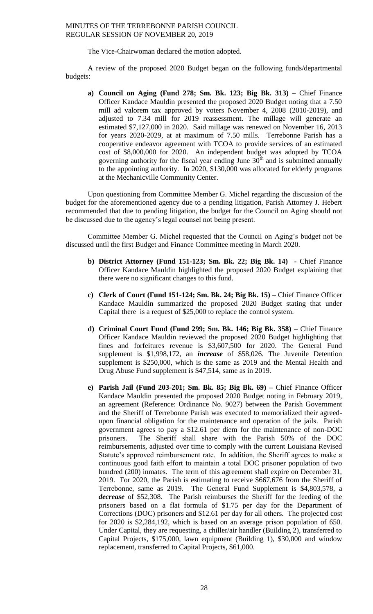The Vice-Chairwoman declared the motion adopted.

A review of the proposed 2020 Budget began on the following funds/departmental budgets:

**a) Council on Aging (Fund 278; Sm. Bk. 123; Big Bk. 313) –** Chief Finance Officer Kandace Mauldin presented the proposed 2020 Budget noting that a 7.50 mill ad valorem tax approved by voters November 4, 2008 (2010-2019), and adjusted to 7.34 mill for 2019 reassessment. The millage will generate an estimated \$7,127,000 in 2020. Said millage was renewed on November 16, 2013 for years 2020-2029, at at maximum of 7.50 mills. Terrebonne Parish has a cooperative endeavor agreement with TCOA to provide services of an estimated cost of \$8,000,000 for 2020. An independent budget was adopted by TCOA governing authority for the fiscal year ending June  $30<sup>th</sup>$  and is submitted annually to the appointing authority. In 2020, \$130,000 was allocated for elderly programs at the Mechanicville Community Center.

Upon questioning from Committee Member G. Michel regarding the discussion of the budget for the aforementioned agency due to a pending litigation, Parish Attorney J. Hebert recommended that due to pending litigation, the budget for the Council on Aging should not be discussed due to the agency's legal counsel not being present.

Committee Member G. Michel requested that the Council on Aging's budget not be discussed until the first Budget and Finance Committee meeting in March 2020.

- **b) District Attorney (Fund 151-123; Sm. Bk. 22; Big Bk. 14) -** Chief Finance Officer Kandace Mauldin highlighted the proposed 2020 Budget explaining that there were no significant changes to this fund.
- **c) Clerk of Court (Fund 151-124; Sm. Bk. 24; Big Bk. 15) –** Chief Finance Officer Kandace Mauldin summarized the proposed 2020 Budget stating that under Capital there is a request of \$25,000 to replace the control system.
- **d) Criminal Court Fund (Fund 299; Sm. Bk. 146; Big Bk. 358) –** Chief Finance Officer Kandace Mauldin reviewed the proposed 2020 Budget highlighting that fines and forfeitures revenue is \$3,607,500 for 2020. The General Fund supplement is \$1,998,172, an *increase* of \$58,026. The Juvenile Detention supplement is \$250,000, which is the same as 2019 and the Mental Health and Drug Abuse Fund supplement is \$47,514, same as in 2019.
- **e) Parish Jail (Fund 203-201; Sm. Bk. 85; Big Bk. 69) –** Chief Finance Officer Kandace Mauldin presented the proposed 2020 Budget noting in February 2019, an agreement (Reference: Ordinance No. 9027) between the Parish Government and the Sheriff of Terrebonne Parish was executed to memorialized their agreedupon financial obligation for the maintenance and operation of the jails. Parish government agrees to pay a \$12.61 per diem for the maintenance of non-DOC prisoners. The Sheriff shall share with the Parish 50% of the DOC reimbursements, adjusted over time to comply with the current Louisiana Revised Statute's approved reimbursement rate. In addition, the Sheriff agrees to make a continuous good faith effort to maintain a total DOC prisoner population of two hundred (200) inmates. The term of this agreement shall expire on December 31, 2019. For 2020, the Parish is estimating to receive \$667,676 from the Sheriff of Terrebonne, same as 2019. The General Fund Supplement is \$4,803,578, a *decrease* of \$52,308. The Parish reimburses the Sheriff for the feeding of the prisoners based on a flat formula of \$1.75 per day for the Department of Corrections (DOC) prisoners and \$12.61 per day for all others. The projected cost for 2020 is \$2,284,192, which is based on an average prison population of 650. Under Capital, they are requesting, a chiller/air handler (Building 2), transferred to Capital Projects, \$175,000, lawn equipment (Building 1), \$30,000 and window replacement, transferred to Capital Projects, \$61,000.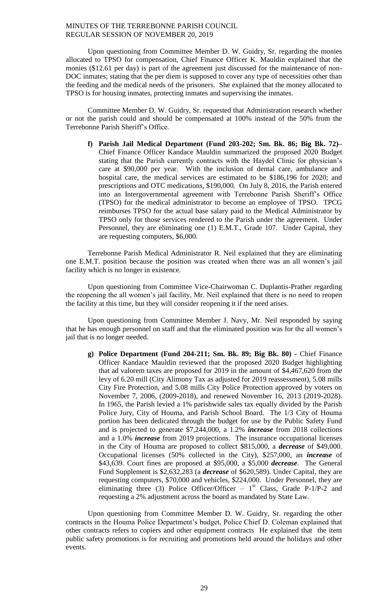Upon questioning from Committee Member D. W. Guidry, Sr. regarding the monies allocated to TPSO for compensation, Chief Finance Officer K. Mauldin explained that the monies (\$12.61 per day) is part of the agreement just discussed for the maintenance of non-DOC inmates; stating that the per diem is supposed to cover any type of necessities other than the feeding and the medical needs of the prisoners. She explained that the money allocated to TPSO is for housing inmates, protecting inmates and supervising the inmates.

Committee Member D. W. Guidry, Sr. requested that Administration research whether or not the parish could and should be compensated at 100% instead of the 50% from the Terrebonne Parish Sheriff's Office.

**f) Parish Jail Medical Department (Fund 203-202; Sm. Bk. 86; Big Bk. 72)–** Chief Finance Officer Kandace Mauldin summarized the proposed 2020 Budget stating that the Parish currently contracts with the Haydel Clinic for physician's care at \$90,000 per year. With the inclusion of dental care, ambulance and hospital care, the medical services are estimated to be \$186,196 for 2020; and prescriptions and OTC medications, \$190,000. On July 8, 2016, the Parish entered into an Intergovernmental agreement with Terrebonne Parish Sheriff's Office (TPSO) for the medical administrator to become an employee of TPSO. TPCG reimburses TPSO for the actual base salary paid to the Medical Administrator by TPSO only for those services rendered to the Parish under the agreement. Under Personnel, they are eliminating one (1) E.M.T., Grade 107. Under Capital, they are requesting computers, \$6,000.

Terrebonne Parish Medical Administrator R. Neil explained that they are eliminating one E.M.T. position because the position was created when there was an all women's jail facility which is no longer in existence.

Upon questioning from Committee Vice-Chairwoman C. Duplantis-Prather regarding the reopening the all women's jail facility, Mr. Neil explained that there is no need to reopen the facility at this time, but they will consider reopening it if the need arises.

Upon questioning from Committee Member J. Navy, Mr. Neil responded by saying that he has enough personnel on staff and that the eliminated position was for the all women's jail that is no longer needed.

**g) Police Department (Fund 204-211; Sm. Bk. 89; Big Bk. 80) -** Chief Finance Officer Kandace Mauldin reviewed that the proposed 2020 Budget highlighting that ad valorem taxes are proposed for 2019 in the amount of \$4,467,620 from the levy of 6.20 mill (City Alimony Tax as adjusted for 2019 reassessment), 5.08 mills City Fire Protection, and 5.08 mills City Police Protection approved by voters on November 7, 2006, (2009-2018), and renewed November 16, 2013 (2019-2028). In 1965, the Parish levied a 1% parishwide sales tax equally divided by the Parish Police Jury, City of Houma, and Parish School Board. The 1/3 City of Houma portion has been dedicated through the budget for use by the Public Safety Fund and is projected to generate \$7,244,000, a 1.2% *increase* from 2018 collections and a 1.0% *increase* from 2019 projections. The insurance occupational licenses in the City of Houma are proposed to collect \$815,000, a *decrease* of \$49,000. Occupational licenses (50% collected in the City), \$257,000, an *increase* of \$43,639. Court fines are proposed at \$95,000, a \$5,000 *decrease*. The General Fund Supplement is \$2,632,283 (a *decrease* of \$620,589). Under Capital, they are requesting computers, \$70,000 and vehicles, \$224,000. Under Personnel, they are eliminating three (3) Police Officer/Officer –  $1<sup>st</sup>$  Class, Grade P-1/P-2 and requesting a 2% adjustment across the board as mandated by State Law.

Upon questioning from Committee Member D. W. Guidry, Sr. regarding the other contracts in the Houma Police Department's budget, Police Chief D. Coleman explained that other contracts refers to copiers and other equipment contracts He explained that the item public safety promotions is for recruiting and promotions held around the holidays and other events.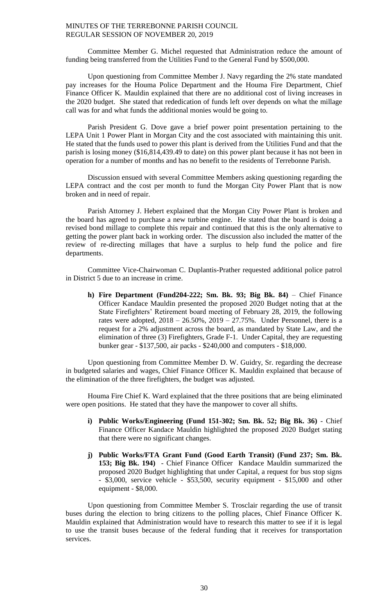Committee Member G. Michel requested that Administration reduce the amount of funding being transferred from the Utilities Fund to the General Fund by \$500,000.

Upon questioning from Committee Member J. Navy regarding the 2% state mandated pay increases for the Houma Police Department and the Houma Fire Department, Chief Finance Officer K. Mauldin explained that there are no additional cost of living increases in the 2020 budget. She stated that rededication of funds left over depends on what the millage call was for and what funds the additional monies would be going to.

Parish President G. Dove gave a brief power point presentation pertaining to the LEPA Unit 1 Power Plant in Morgan City and the cost associated with maintaining this unit. He stated that the funds used to power this plant is derived from the Utilities Fund and that the parish is losing money (\$16,814,439.49 to date) on this power plant because it has not been in operation for a number of months and has no benefit to the residents of Terrebonne Parish.

Discussion ensued with several Committee Members asking questioning regarding the LEPA contract and the cost per month to fund the Morgan City Power Plant that is now broken and in need of repair.

Parish Attorney J. Hebert explained that the Morgan City Power Plant is broken and the board has agreed to purchase a new turbine engine. He stated that the board is doing a revised bond millage to complete this repair and continued that this is the only alternative to getting the power plant back in working order. The discussion also included the matter of the review of re-directing millages that have a surplus to help fund the police and fire departments.

Committee Vice-Chairwoman C. Duplantis-Prather requested additional police patrol in District 5 due to an increase in crime.

**h) Fire Department (Fund204-222; Sm. Bk. 93; Big Bk. 84)** – Chief Finance Officer Kandace Mauldin presented the proposed 2020 Budget noting that at the State Firefighters' Retirement board meeting of February 28, 2019, the following rates were adopted,  $2018 - 26.50\%$ ,  $2019 - 27.75\%$ . Under Personnel, there is a request for a 2% adjustment across the board, as mandated by State Law, and the elimination of three (3) Firefighters, Grade F-1. Under Capital, they are requesting bunker gear - \$137,500, air packs - \$240,000 and computers - \$18,000.

Upon questioning from Committee Member D. W. Guidry, Sr. regarding the decrease in budgeted salaries and wages, Chief Finance Officer K. Mauldin explained that because of the elimination of the three firefighters, the budget was adjusted.

Houma Fire Chief K. Ward explained that the three positions that are being eliminated were open positions. He stated that they have the manpower to cover all shifts.

- **i) Public Works/Engineering (Fund 151-302; Sm. Bk. 52; Big Bk. 36)** Chief Finance Officer Kandace Mauldin highlighted the proposed 2020 Budget stating that there were no significant changes.
- **j) Public Works/FTA Grant Fund (Good Earth Transit) (Fund 237; Sm. Bk. 153; Big Bk. 194)** - Chief Finance Officer Kandace Mauldin summarized the proposed 2020 Budget highlighting that under Capital, a request for bus stop signs - \$3,000, service vehicle - \$53,500, security equipment - \$15,000 and other equipment - \$8,000.

Upon questioning from Committee Member S. Trosclair regarding the use of transit buses during the election to bring citizens to the polling places, Chief Finance Officer K. Mauldin explained that Administration would have to research this matter to see if it is legal to use the transit buses because of the federal funding that it receives for transportation services.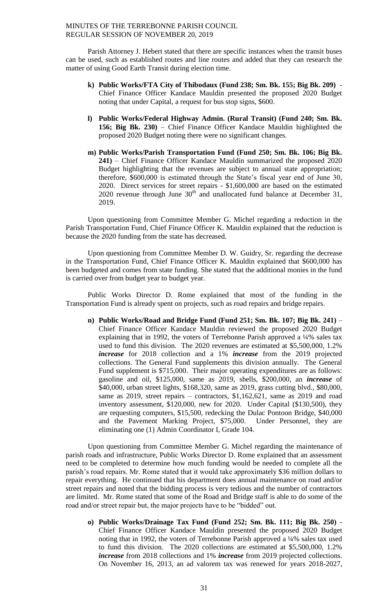Parish Attorney J. Hebert stated that there are specific instances when the transit buses can be used, such as established routes and line routes and added that they can research the matter of using Good Earth Transit during election time.

- **k) Public Works/FTA City of Thibodaux (Fund 238; Sm. Bk. 155; Big Bk. 209)**  Chief Finance Officer Kandace Mauldin presented the proposed 2020 Budget noting that under Capital, a request for bus stop signs, \$600.
- **l) Public Works/Federal Highway Admin. (Rural Transit) (Fund 240; Sm. Bk. 156; Big Bk. 230)** – Chief Finance Officer Kandace Mauldin highlighted the proposed 2020 Budget noting there were no significant changes.
- **m) Public Works/Parish Transportation Fund (Fund 250; Sm. Bk. 106; Big Bk. 241)** – Chief Finance Officer Kandace Mauldin summarized the proposed 2020 Budget highlighting that the revenues are subject to annual state appropriation; therefore, \$600,000 is estimated through the State's fiscal year end of June 30, 2020. Direct services for street repairs - \$1,600,000 are based on the estimated 2020 revenue through June  $30<sup>th</sup>$  and unallocated fund balance at December 31, 2019.

Upon questioning from Committee Member G. Michel regarding a reduction in the Parish Transportation Fund, Chief Finance Officer K. Mauldin explained that the reduction is because the 2020 funding from the state has decreased.

Upon questioning from Committee Member D. W. Guidry, Sr. regarding the decrease in the Transportation Fund, Chief Finance Officer K. Mauldin explained that \$600,000 has been budgeted and comes from state funding. She stated that the additional monies in the fund is carried over from budget year to budget year.

Public Works Director D. Rome explained that most of the funding in the Transportation Fund is already spent on projects, such as road repairs and bridge repairs.

**n) Public Works/Road and Bridge Fund (Fund 251; Sm. Bk. 107; Big Bk. 241)** – Chief Finance Officer Kandace Mauldin reviewed the proposed 2020 Budget explaining that in 1992, the voters of Terrebonne Parish approved a ¼% sales tax used to fund this division. The 2020 revenues are estimated at \$5,500,000, 1.2% *increase* for 2018 collection and a 1% *increase* from the 2019 projected collections. The General Fund supplements this division annually. The General Fund supplement is \$715,000. Their major operating expenditures are as follows: gasoline and oil, \$125,000, same as 2019, shells, \$200,000, an *increase* of \$40,000, urban street lights, \$168,320, same as 2019, grass cutting blvd., \$80,000, same as 2019, street repairs – contractors, \$1,162,621, same as 2019 and road inventory assessment, \$120,000, new for 2020. Under Capital (\$130,500), they are requesting computers, \$15,500, redecking the Dulac Pontoon Bridge, \$40,000 and the Pavement Marking Project, \$75,000. Under Personnel, they are eliminating one (1) Admin Coordinator I, Grade 104.

Upon questioning from Committee Member G. Michel regarding the maintenance of parish roads and infrastructure, Public Works Director D. Rome explained that an assessment need to be completed to determine how much funding would be needed to complete all the parish's road repairs. Mr. Rome stated that it would take approximately \$36 million dollars to repair everything. He continued that his department does annual maintenance on road and/or street repairs and noted that the bidding process is very tedious and the number of contractors are limited. Mr. Rome stated that some of the Road and Bridge staff is able to do some of the road and/or street repair but, the major projects have to be "bidded" out.

**o) Public Works/Drainage Tax Fund (Fund 252; Sm. Bk. 111; Big Bk. 250)** - Chief Finance Officer Kandace Mauldin presented the proposed 2020 Budget noting that in 1992, the voters of Terrebonne Parish approved a ¼% sales tax used to fund this division. The 2020 collections are estimated at \$5,500,000, 1.2% *increase* from 2018 collections and 1% *increase* from 2019 projected collections. On November 16, 2013, an ad valorem tax was renewed for years 2018-2027,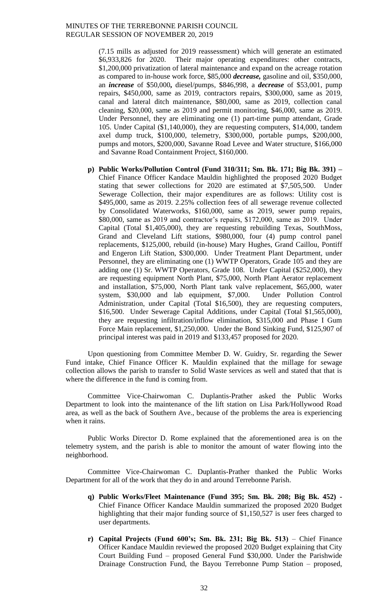(7.15 mills as adjusted for 2019 reassessment) which will generate an estimated \$6,933,826 for 2020. Their major operating expenditures: other contracts, \$1,200,000 privatization of lateral maintenance and expand on the acreage rotation as compared to in-house work force, \$85,000 *decrease,* gasoline and oil, \$350,000, an *increase* of \$50,000**,** diesel/pumps, \$846,998, a *decrease* of \$53,001, pump repairs, \$450,000, same as 2019, contractors repairs, \$300,000, same as 2019, canal and lateral ditch maintenance, \$80,000, same as 2019, collection canal cleaning, \$20,000, same as 2019 and permit monitoring, \$46,000, same as 2019. Under Personnel, they are eliminating one (1) part-time pump attendant, Grade 105. Under Capital (\$1,140,000), they are requesting computers, \$14,000, tandem axel dump truck, \$100,000, telemetry, \$300,000, portable pumps, \$200,000, pumps and motors, \$200,000, Savanne Road Levee and Water structure, \$166,000 and Savanne Road Containment Project, \$160,000.

**p) Public Works/Pollution Control (Fund 310/311; Sm. Bk. 171; Big Bk. 391) –** Chief Finance Officer Kandace Mauldin highlighted the proposed 2020 Budget stating that sewer collections for 2020 are estimated at \$7,505,500. Under Sewerage Collection, their major expenditures are as follows: Utility cost is \$495,000, same as 2019. 2.25% collection fees of all sewerage revenue collected by Consolidated Waterworks, \$160,000, same as 2019, sewer pump repairs, \$80,000, same as 2019 and contractor's repairs, \$172,000, same as 2019. Under Capital (Total \$1,405,000), they are requesting rebuilding Texas, SouthMoss, Grand and Cleveland Lift stations, \$980,000, four (4) pump control panel replacements, \$125,000, rebuild (in-house) Mary Hughes, Grand Caillou, Pontiff and Engeron Lift Station, \$300,000. Under Treatment Plant Department, under Personnel, they are eliminating one (1) WWTP Operators, Grade 105 and they are adding one (1) Sr. WWTP Operators, Grade 108. Under Capital (\$252,000), they are requesting equipment North Plant, \$75,000, North Plant Aerator replacement and installation, \$75,000, North Plant tank valve replacement, \$65,000, water system, \$30,000 and lab equipment, \$7,000. Under Pollution Control Administration, under Capital (Total \$16,500), they are requesting computers, \$16,500. Under Sewerage Capital Additions, under Capital (Total \$1,565,000), they are requesting infiltration/inflow elimination, \$315,000 and Phase I Gum Force Main replacement, \$1,250,000. Under the Bond Sinking Fund, \$125,907 of principal interest was paid in 2019 and \$133,457 proposed for 2020.

Upon questioning from Committee Member D. W. Guidry, Sr. regarding the Sewer Fund intake, Chief Finance Officer K. Mauldin explained that the millage for sewage collection allows the parish to transfer to Solid Waste services as well and stated that that is where the difference in the fund is coming from.

Committee Vice-Chairwoman C. Duplantis-Prather asked the Public Works Department to look into the maintenance of the lift station on Lisa Park/Hollywood Road area, as well as the back of Southern Ave., because of the problems the area is experiencing when it rains.

Public Works Director D. Rome explained that the aforementioned area is on the telemetry system, and the parish is able to monitor the amount of water flowing into the neighborhood.

Committee Vice-Chairwoman C. Duplantis-Prather thanked the Public Works Department for all of the work that they do in and around Terrebonne Parish.

- **q) Public Works/Fleet Maintenance (Fund 395; Sm. Bk. 208; Big Bk. 452) -** Chief Finance Officer Kandace Mauldin summarized the proposed 2020 Budget highlighting that their major funding source of \$1,150,527 is user fees charged to user departments.
- **r) Capital Projects (Fund 600's; Sm. Bk. 231; Big Bk. 513)** Chief Finance Officer Kandace Mauldin reviewed the proposed 2020 Budget explaining that City Court Building Fund – proposed General Fund \$30,000. Under the Parishwide Drainage Construction Fund, the Bayou Terrebonne Pump Station – proposed,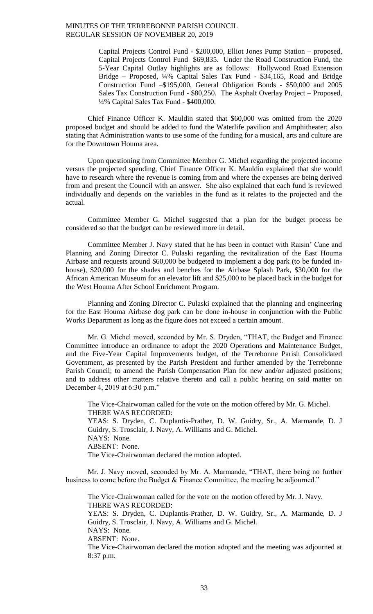> Capital Projects Control Fund - \$200,000, Elliot Jones Pump Station – proposed, Capital Projects Control Fund \$69,835. Under the Road Construction Fund, the 5-Year Capital Outlay highlights are as follows: Hollywood Road Extension Bridge – Proposed, ¼% Capital Sales Tax Fund - \$34,165, Road and Bridge Construction Fund –\$195,000, General Obligation Bonds - \$50,000 and 2005 Sales Tax Construction Fund - \$80,250. The Asphalt Overlay Project – Proposed, ¼% Capital Sales Tax Fund - \$400,000.

Chief Finance Officer K. Mauldin stated that \$60,000 was omitted from the 2020 proposed budget and should be added to fund the Waterlife pavilion and Amphitheater; also stating that Administration wants to use some of the funding for a musical, arts and culture are for the Downtown Houma area.

Upon questioning from Committee Member G. Michel regarding the projected income versus the projected spending, Chief Finance Officer K. Mauldin explained that she would have to research where the revenue is coming from and where the expenses are being derived from and present the Council with an answer. She also explained that each fund is reviewed individually and depends on the variables in the fund as it relates to the projected and the actual.

Committee Member G. Michel suggested that a plan for the budget process be considered so that the budget can be reviewed more in detail.

Committee Member J. Navy stated that he has been in contact with Raisin' Cane and Planning and Zoning Director C. Pulaski regarding the revitalization of the East Houma Airbase and requests around \$60,000 be budgeted to implement a dog park (to be funded inhouse), \$20,000 for the shades and benches for the Airbase Splash Park, \$30,000 for the African American Museum for an elevator lift and \$25,000 to be placed back in the budget for the West Houma After School Enrichment Program.

Planning and Zoning Director C. Pulaski explained that the planning and engineering for the East Houma Airbase dog park can be done in-house in conjunction with the Public Works Department as long as the figure does not exceed a certain amount.

Mr. G. Michel moved, seconded by Mr. S. Dryden, "THAT, the Budget and Finance Committee introduce an ordinance to adopt the 2020 Operations and Maintenance Budget, and the Five-Year Capital Improvements budget, of the Terrebonne Parish Consolidated Government, as presented by the Parish President and further amended by the Terrebonne Parish Council; to amend the Parish Compensation Plan for new and/or adjusted positions; and to address other matters relative thereto and call a public hearing on said matter on December 4, 2019 at 6:30 p.m."

The Vice-Chairwoman called for the vote on the motion offered by Mr. G. Michel. THERE WAS RECORDED: YEAS: S. Dryden, C. Duplantis-Prather, D. W. Guidry, Sr., A. Marmande, D. J Guidry, S. Trosclair, J. Navy, A. Williams and G. Michel. NAYS: None. ABSENT: None. The Vice-Chairwoman declared the motion adopted.

Mr. J. Navy moved, seconded by Mr. A. Marmande, "THAT, there being no further business to come before the Budget & Finance Committee, the meeting be adjourned."

The Vice-Chairwoman called for the vote on the motion offered by Mr. J. Navy. THERE WAS RECORDED: YEAS: S. Dryden, C. Duplantis-Prather, D. W. Guidry, Sr., A. Marmande, D. J Guidry, S. Trosclair, J. Navy, A. Williams and G. Michel. NAYS: None. ABSENT: None. The Vice-Chairwoman declared the motion adopted and the meeting was adjourned at 8:37 p.m.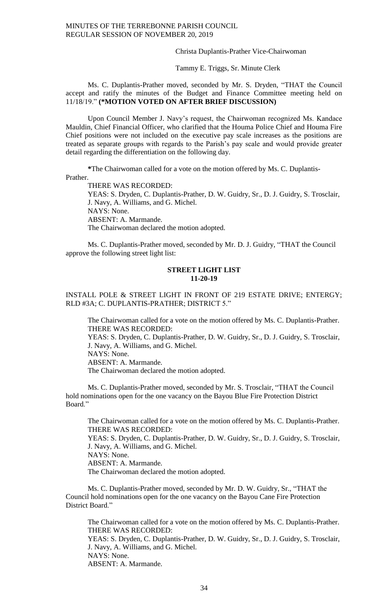Christa Duplantis-Prather Vice-Chairwoman

Tammy E. Triggs, Sr. Minute Clerk

Ms. C. Duplantis-Prather moved, seconded by Mr. S. Dryden, "THAT the Council accept and ratify the minutes of the Budget and Finance Committee meeting held on 11/18/19." **(\*MOTION VOTED ON AFTER BRIEF DISCUSSION)**

Upon Council Member J. Navy's request, the Chairwoman recognized Ms. Kandace Mauldin, Chief Financial Officer, who clarified that the Houma Police Chief and Houma Fire Chief positions were not included on the executive pay scale increases as the positions are treated as separate groups with regards to the Parish's pay scale and would provide greater detail regarding the differentiation on the following day.

**\***The Chairwoman called for a vote on the motion offered by Ms. C. Duplantis-Prather.

THERE WAS RECORDED:

YEAS: S. Dryden, C. Duplantis-Prather, D. W. Guidry, Sr., D. J. Guidry, S. Trosclair, J. Navy, A. Williams, and G. Michel. NAYS: None. ABSENT: A. Marmande. The Chairwoman declared the motion adopted.

Ms. C. Duplantis-Prather moved, seconded by Mr. D. J. Guidry, "THAT the Council approve the following street light list:

### **STREET LIGHT LIST 11-20-19**

INSTALL POLE & STREET LIGHT IN FRONT OF 219 ESTATE DRIVE; ENTERGY; RLD #3A; C. DUPLANTIS-PRATHER; DISTRICT 5."

The Chairwoman called for a vote on the motion offered by Ms. C. Duplantis-Prather. THERE WAS RECORDED: YEAS: S. Dryden, C. Duplantis-Prather, D. W. Guidry, Sr., D. J. Guidry, S. Trosclair, J. Navy, A. Williams, and G. Michel. NAYS: None. ABSENT: A. Marmande. The Chairwoman declared the motion adopted.

Ms. C. Duplantis-Prather moved, seconded by Mr. S. Trosclair, "THAT the Council hold nominations open for the one vacancy on the Bayou Blue Fire Protection District Board."

The Chairwoman called for a vote on the motion offered by Ms. C. Duplantis-Prather. THERE WAS RECORDED: YEAS: S. Dryden, C. Duplantis-Prather, D. W. Guidry, Sr., D. J. Guidry, S. Trosclair, J. Navy, A. Williams, and G. Michel. NAYS: None. ABSENT: A. Marmande. The Chairwoman declared the motion adopted.

Ms. C. Duplantis-Prather moved, seconded by Mr. D. W. Guidry, Sr., "THAT the Council hold nominations open for the one vacancy on the Bayou Cane Fire Protection District Board."

The Chairwoman called for a vote on the motion offered by Ms. C. Duplantis-Prather. THERE WAS RECORDED: YEAS: S. Dryden, C. Duplantis-Prather, D. W. Guidry, Sr., D. J. Guidry, S. Trosclair, J. Navy, A. Williams, and G. Michel. NAYS: None. ABSENT: A. Marmande.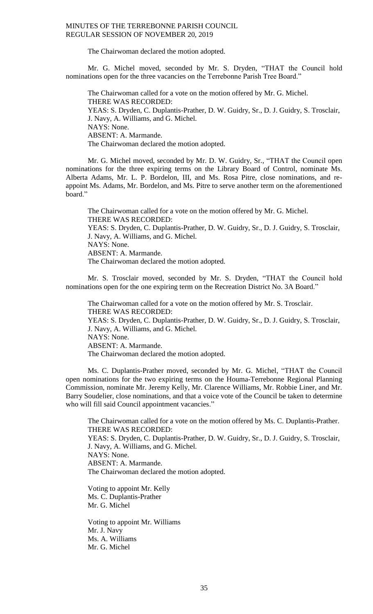The Chairwoman declared the motion adopted.

Mr. G. Michel moved, seconded by Mr. S. Dryden, "THAT the Council hold nominations open for the three vacancies on the Terrebonne Parish Tree Board."

The Chairwoman called for a vote on the motion offered by Mr. G. Michel. THERE WAS RECORDED: YEAS: S. Dryden, C. Duplantis-Prather, D. W. Guidry, Sr., D. J. Guidry, S. Trosclair, J. Navy, A. Williams, and G. Michel. NAYS: None. ABSENT: A. Marmande. The Chairwoman declared the motion adopted.

Mr. G. Michel moved, seconded by Mr. D. W. Guidry, Sr., "THAT the Council open nominations for the three expiring terms on the Library Board of Control, nominate Ms. Alberta Adams, Mr. L. P. Bordelon, III, and Ms. Rosa Pitre, close nominations, and reappoint Ms. Adams, Mr. Bordelon, and Ms. Pitre to serve another term on the aforementioned board."

The Chairwoman called for a vote on the motion offered by Mr. G. Michel. THERE WAS RECORDED: YEAS: S. Dryden, C. Duplantis-Prather, D. W. Guidry, Sr., D. J. Guidry, S. Trosclair, J. Navy, A. Williams, and G. Michel. NAYS: None. ABSENT: A. Marmande. The Chairwoman declared the motion adopted.

Mr. S. Trosclair moved, seconded by Mr. S. Dryden, "THAT the Council hold nominations open for the one expiring term on the Recreation District No. 3A Board."

The Chairwoman called for a vote on the motion offered by Mr. S. Trosclair. THERE WAS RECORDED: YEAS: S. Dryden, C. Duplantis-Prather, D. W. Guidry, Sr., D. J. Guidry, S. Trosclair, J. Navy, A. Williams, and G. Michel. NAYS: None. ABSENT: A. Marmande. The Chairwoman declared the motion adopted.

Ms. C. Duplantis-Prather moved, seconded by Mr. G. Michel, "THAT the Council open nominations for the two expiring terms on the Houma-Terrebonne Regional Planning Commission, nominate Mr. Jeremy Kelly, Mr. Clarence Williams, Mr. Robbie Liner, and Mr. Barry Soudelier, close nominations, and that a voice vote of the Council be taken to determine who will fill said Council appointment vacancies."

The Chairwoman called for a vote on the motion offered by Ms. C. Duplantis-Prather. THERE WAS RECORDED: YEAS: S. Dryden, C. Duplantis-Prather, D. W. Guidry, Sr., D. J. Guidry, S. Trosclair, J. Navy, A. Williams, and G. Michel. NAYS: None. ABSENT: A. Marmande. The Chairwoman declared the motion adopted.

Voting to appoint Mr. Kelly Ms. C. Duplantis-Prather Mr. G. Michel

Voting to appoint Mr. Williams Mr. J. Navy Ms. A. Williams Mr. G. Michel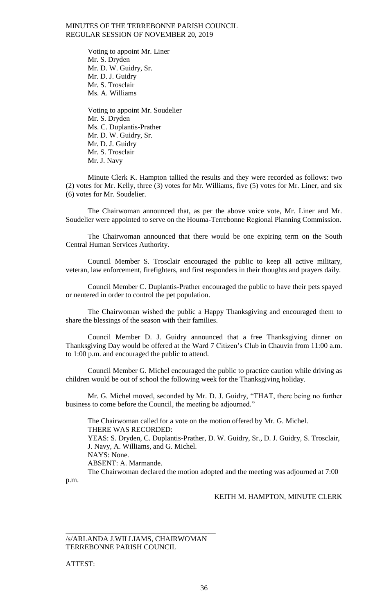Voting to appoint Mr. Liner Mr. S. Dryden Mr. D. W. Guidry, Sr. Mr. D. J. Guidry Mr. S. Trosclair Ms. A. Williams

Voting to appoint Mr. Soudelier Mr. S. Dryden Ms. C. Duplantis-Prather Mr. D. W. Guidry, Sr. Mr. D. J. Guidry Mr. S. Trosclair Mr. J. Navy

Minute Clerk K. Hampton tallied the results and they were recorded as follows: two (2) votes for Mr. Kelly, three (3) votes for Mr. Williams, five (5) votes for Mr. Liner, and six (6) votes for Mr. Soudelier.

The Chairwoman announced that, as per the above voice vote, Mr. Liner and Mr. Soudelier were appointed to serve on the Houma-Terrebonne Regional Planning Commission.

The Chairwoman announced that there would be one expiring term on the South Central Human Services Authority.

Council Member S. Trosclair encouraged the public to keep all active military, veteran, law enforcement, firefighters, and first responders in their thoughts and prayers daily.

Council Member C. Duplantis-Prather encouraged the public to have their pets spayed or neutered in order to control the pet population.

The Chairwoman wished the public a Happy Thanksgiving and encouraged them to share the blessings of the season with their families.

Council Member D. J. Guidry announced that a free Thanksgiving dinner on Thanksgiving Day would be offered at the Ward 7 Citizen's Club in Chauvin from 11:00 a.m. to 1:00 p.m. and encouraged the public to attend.

Council Member G. Michel encouraged the public to practice caution while driving as children would be out of school the following week for the Thanksgiving holiday.

Mr. G. Michel moved, seconded by Mr. D. J. Guidry, "THAT, there being no further business to come before the Council, the meeting be adjourned."

The Chairwoman called for a vote on the motion offered by Mr. G. Michel. THERE WAS RECORDED: YEAS: S. Dryden, C. Duplantis-Prather, D. W. Guidry, Sr., D. J. Guidry, S. Trosclair, J. Navy, A. Williams, and G. Michel. NAYS: None. ABSENT: A. Marmande. The Chairwoman declared the motion adopted and the meeting was adjourned at 7:00

p.m.

# KEITH M. HAMPTON, MINUTE CLERK

/s/ARLANDA J.WILLIAMS, CHAIRWOMAN TERREBONNE PARISH COUNCIL

\_\_\_\_\_\_\_\_\_\_\_\_\_\_\_\_\_\_\_\_\_\_\_\_\_\_\_\_\_\_\_\_\_\_\_\_\_\_\_\_\_